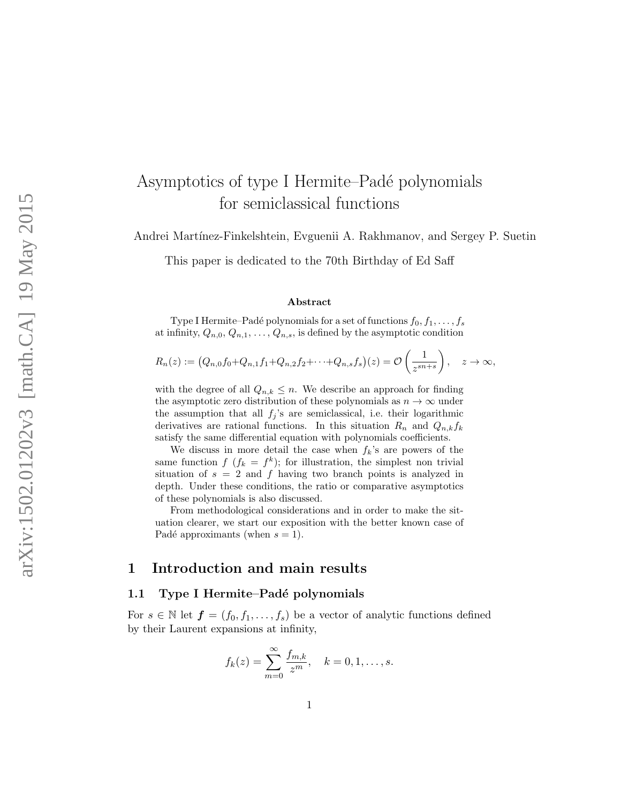# Asymptotics of type I Hermite–Padé polynomials for semiclassical functions

Andrei Martínez-Finkelshtein, Evguenii A. Rakhmanov, and Sergey P. Suetin

This paper is dedicated to the 70th Birthday of Ed Saff

#### Abstract

Type I Hermite–Padé polynomials for a set of functions  $f_0, f_1, \ldots, f_s$ at infinity,  $Q_{n,0}, Q_{n,1}, \ldots, Q_{n,s}$ , is defined by the asymptotic condition

$$
R_n(z) := \left(Q_{n,0}f_0 + Q_{n,1}f_1 + Q_{n,2}f_2 + \cdots + Q_{n,s}f_s\right)(z) = \mathcal{O}\left(\frac{1}{z^{sn+s}}\right), \quad z \to \infty,
$$

with the degree of all  $Q_{n,k} \leq n$ . We describe an approach for finding the asymptotic zero distribution of these polynomials as  $n \to \infty$  under the assumption that all  $f_j$ 's are semiclassical, i.e. their logarithmic derivatives are rational functions. In this situation  $R_n$  and  $Q_{n,k}f_k$ satisfy the same differential equation with polynomials coefficients.

We discuss in more detail the case when  $f_k$ 's are powers of the same function  $f (f_k = f^k)$ ; for illustration, the simplest non trivial situation of  $s = 2$  and f having two branch points is analyzed in depth. Under these conditions, the ratio or comparative asymptotics of these polynomials is also discussed.

From methodological considerations and in order to make the situation clearer, we start our exposition with the better known case of Padé approximants (when  $s = 1$ ).

### 1 Introduction and main results

#### 1.1 Type I Hermite–Padé polynomials

For  $s \in \mathbb{N}$  let  $\boldsymbol{f} = (f_0, f_1, \ldots, f_s)$  be a vector of analytic functions defined by their Laurent expansions at infinity,

$$
f_k(z) = \sum_{m=0}^{\infty} \frac{f_{m,k}}{z^m}, \quad k = 0, 1, \dots, s.
$$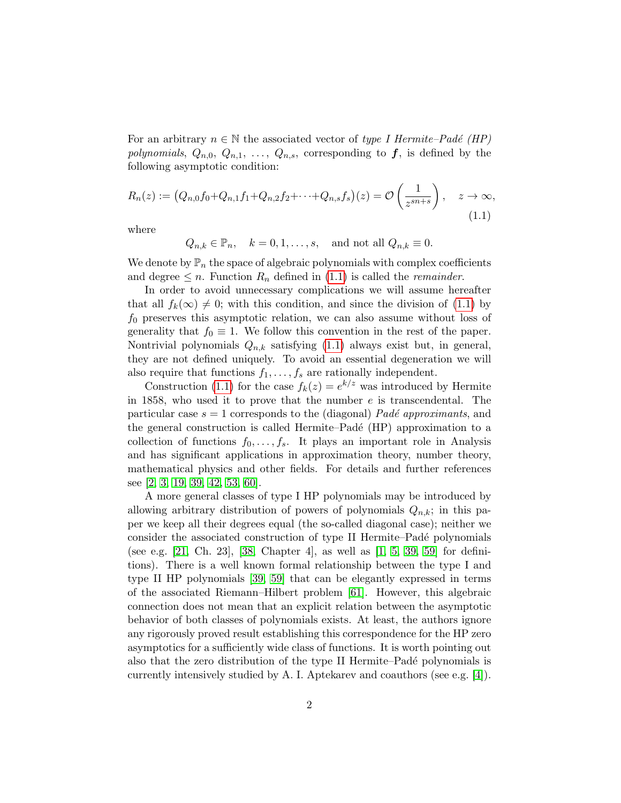For an arbitrary  $n \in \mathbb{N}$  the associated vector of type I Hermite–Padé (HP) polynomials,  $Q_{n,0}, Q_{n,1}, \ldots, Q_{n,s}$ , corresponding to f, is defined by the following asymptotic condition:

<span id="page-1-0"></span>
$$
R_n(z) := (Q_{n,0}f_0 + Q_{n,1}f_1 + Q_{n,2}f_2 + \dots + Q_{n,s}f_s)(z) = \mathcal{O}\left(\frac{1}{z^{sn+s}}\right), \quad z \to \infty,
$$
\n(1.1)

where

$$
Q_{n,k} \in \mathbb{P}_n
$$
,  $k = 0, 1, ..., s$ , and not all  $Q_{n,k} \equiv 0$ .

We denote by  $\mathbb{P}_n$  the space of algebraic polynomials with complex coefficients and degree  $\leq n$ . Function  $R_n$  defined in [\(1.1\)](#page-1-0) is called the *remainder*.

In order to avoid unnecessary complications we will assume hereafter that all  $f_k(\infty) \neq 0$ ; with this condition, and since the division of [\(1.1\)](#page-1-0) by  $f_0$  preserves this asymptotic relation, we can also assume without loss of generality that  $f_0 \equiv 1$ . We follow this convention in the rest of the paper. Nontrivial polynomials  $Q_{n,k}$  satisfying [\(1.1\)](#page-1-0) always exist but, in general, they are not defined uniquely. To avoid an essential degeneration we will also require that functions  $f_1, \ldots, f_s$  are rationally independent.

Construction [\(1.1\)](#page-1-0) for the case  $f_k(z) = e^{k/z}$  was introduced by Hermite in 1858, who used it to prove that the number  $e$  is transcendental. The particular case  $s = 1$  corresponds to the (diagonal) *Padé approximants*, and the general construction is called Hermite–Padé (HP) approximation to a collection of functions  $f_0, \ldots, f_s$ . It plays an important role in Analysis and has significant applications in approximation theory, number theory, mathematical physics and other fields. For details and further references see [\[2,](#page-34-0) [3,](#page-34-1) [19,](#page-35-0) [39,](#page-37-0) [42,](#page-37-1) [53,](#page-38-0) [60\]](#page-39-0).

A more general classes of type I HP polynomials may be introduced by allowing arbitrary distribution of powers of polynomials  $Q_{n,k}$ ; in this paper we keep all their degrees equal (the so-called diagonal case); neither we consider the associated construction of type II Hermite–Padé polynomials (see e.g. [\[21,](#page-35-1) Ch. 23], [\[38,](#page-37-2) Chapter 4], as well as [\[1,](#page-34-2) [5,](#page-34-3) [39,](#page-37-0) [59\]](#page-39-1) for definitions). There is a well known formal relationship between the type I and type II HP polynomials [\[39,](#page-37-0) [59\]](#page-39-1) that can be elegantly expressed in terms of the associated Riemann–Hilbert problem [\[61\]](#page-39-2). However, this algebraic connection does not mean that an explicit relation between the asymptotic behavior of both classes of polynomials exists. At least, the authors ignore any rigorously proved result establishing this correspondence for the HP zero asymptotics for a sufficiently wide class of functions. It is worth pointing out also that the zero distribution of the type II Hermite–Padé polynomials is currently intensively studied by A. I. Aptekarev and coauthors (see e.g. [\[4\]](#page-34-4)).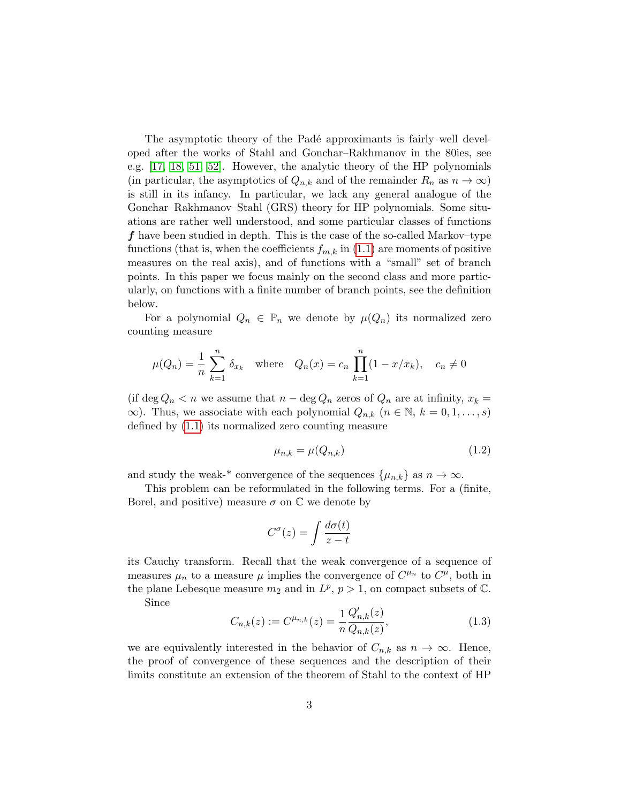The asymptotic theory of the Padé approximants is fairly well developed after the works of Stahl and Gonchar–Rakhmanov in the 80ies, see e.g. [\[17,](#page-35-2) [18,](#page-35-3) [51,](#page-38-1) [52\]](#page-38-2). However, the analytic theory of the HP polynomials (in particular, the asymptotics of  $Q_{n,k}$  and of the remainder  $R_n$  as  $n \to \infty$ ) is still in its infancy. In particular, we lack any general analogue of the Gonchar–Rakhmanov–Stahl (GRS) theory for HP polynomials. Some situations are rather well understood, and some particular classes of functions f have been studied in depth. This is the case of the so-called Markov–type functions (that is, when the coefficients  $f_{m,k}$  in [\(1.1\)](#page-1-0) are moments of positive measures on the real axis), and of functions with a "small" set of branch points. In this paper we focus mainly on the second class and more particularly, on functions with a finite number of branch points, see the definition below.

For a polynomial  $Q_n \in \mathbb{P}_n$  we denote by  $\mu(Q_n)$  its normalized zero counting measure

$$
\mu(Q_n) = \frac{1}{n} \sum_{k=1}^n \delta_{x_k}
$$
 where  $Q_n(x) = c_n \prod_{k=1}^n (1 - x/x_k), c_n \neq 0$ 

(if deg  $Q_n < n$  we assume that  $n - \deg Q_n$  zeros of  $Q_n$  are at infinity,  $x_k =$  $\infty$ ). Thus, we associate with each polynomial  $Q_{n,k}$   $(n \in \mathbb{N}, k = 0, 1, \ldots, s)$ defined by [\(1.1\)](#page-1-0) its normalized zero counting measure

<span id="page-2-0"></span>
$$
\mu_{n,k} = \mu(Q_{n,k})\tag{1.2}
$$

and study the weak-\* convergence of the sequences  $\{\mu_{n,k}\}\$ as  $n \to \infty$ .

This problem can be reformulated in the following terms. For a (finite, Borel, and positive) measure  $\sigma$  on  $\mathbb C$  we denote by

$$
C^{\sigma}(z) = \int \frac{d\sigma(t)}{z - t}
$$

its Cauchy transform. Recall that the weak convergence of a sequence of measures  $\mu_n$  to a measure  $\mu$  implies the convergence of  $C^{\mu_n}$  to  $C^{\mu}$ , both in the plane Lebesque measure  $m_2$  and in  $L^p$ ,  $p > 1$ , on compact subsets of  $\mathbb{C}$ .

Since

<span id="page-2-1"></span>
$$
C_{n,k}(z) := C^{\mu_{n,k}}(z) = \frac{1}{n} \frac{Q'_{n,k}(z)}{Q_{n,k}(z)},
$$
\n(1.3)

we are equivalently interested in the behavior of  $C_{n,k}$  as  $n \to \infty$ . Hence, the proof of convergence of these sequences and the description of their limits constitute an extension of the theorem of Stahl to the context of HP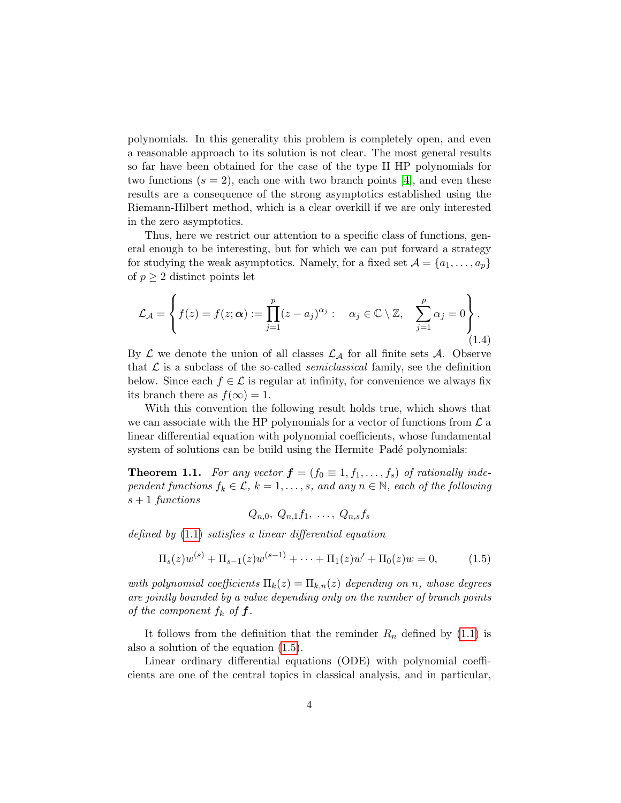polynomials. In this generality this problem is completely open, and even a reasonable approach to its solution is not clear. The most general results so far have been obtained for the case of the type II HP polynomials for two functions  $(s = 2)$ , each one with two branch points [\[4\]](#page-34-4), and even these results are a consequence of the strong asymptotics established using the Riemann-Hilbert method, which is a clear overkill if we are only interested in the zero asymptotics.

Thus, here we restrict our attention to a specific class of functions, general enough to be interesting, but for which we can put forward a strategy for studying the weak asymptotics. Namely, for a fixed set  $\mathcal{A} = \{a_1, \ldots, a_p\}$ of  $p \geq 2$  distinct points let

$$
\mathcal{L}_{\mathcal{A}} = \left\{ f(z) = f(z; \boldsymbol{\alpha}) := \prod_{j=1}^{p} (z - a_j)^{\alpha_j} : \alpha_j \in \mathbb{C} \setminus \mathbb{Z}, \sum_{j=1}^{p} \alpha_j = 0 \right\}.
$$
\n(1.4)

By  $\mathcal L$  we denote the union of all classes  $\mathcal L_{\mathcal A}$  for all finite sets  $\mathcal A$ . Observe that  $\mathcal L$  is a subclass of the so-called *semiclassical* family, see the definition below. Since each  $f \in \mathcal{L}$  is regular at infinity, for convenience we always fix its branch there as  $f(\infty) = 1$ .

With this convention the following result holds true, which shows that we can associate with the HP polynomials for a vector of functions from  $\mathcal L$  a linear differential equation with polynomial coefficients, whose fundamental system of solutions can be build using the Hermite–Padé polynomials:

<span id="page-3-1"></span>**Theorem 1.1.** For any vector  $\boldsymbol{f} = (f_0 \equiv 1, f_1, \ldots, f_s)$  of rationally independent functions  $f_k \in \mathcal{L}$ ,  $k = 1, \ldots, s$ , and any  $n \in \mathbb{N}$ , each of the following  $s + 1$  functions

$$
Q_{n,0}, Q_{n,1}f_1, \ldots, Q_{n,s}f_s
$$

defined by [\(1.1\)](#page-1-0) satisfies a linear differential equation

<span id="page-3-0"></span>
$$
\Pi_s(z)w^{(s)} + \Pi_{s-1}(z)w^{(s-1)} + \dots + \Pi_1(z)w' + \Pi_0(z)w = 0,
$$
\n(1.5)

with polynomial coefficients  $\Pi_k(z) = \Pi_{k,n}(z)$  depending on n, whose degrees are jointly bounded by a value depending only on the number of branch points of the component  $f_k$  of  $f$ .

It follows from the definition that the reminder  $R_n$  defined by [\(1.1\)](#page-1-0) is also a solution of the equation [\(1.5\)](#page-3-0).

Linear ordinary differential equations (ODE) with polynomial coefficients are one of the central topics in classical analysis, and in particular,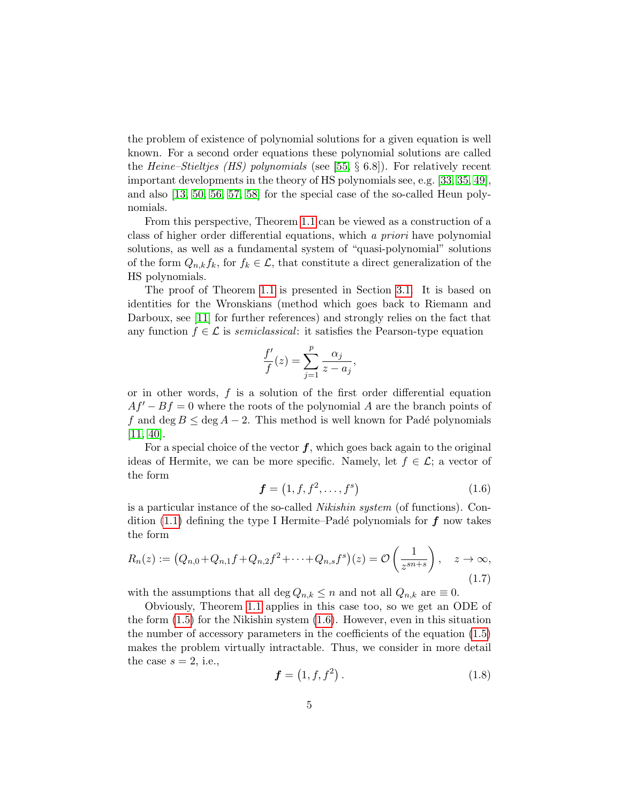the problem of existence of polynomial solutions for a given equation is well known. For a second order equations these polynomial solutions are called the Heine–Stieltjes (HS) polynomials (see [\[55,](#page-38-3)  $\S 6.8$ ]). For relatively recent important developments in the theory of HS polynomials see, e.g. [\[33,](#page-37-3) [35,](#page-37-4) [49\]](#page-38-4), and also [\[13,](#page-35-4) [50,](#page-38-5) [56,](#page-38-6) [57,](#page-39-3) [58\]](#page-39-4) for the special case of the so-called Heun polynomials.

From this perspective, Theorem [1.1](#page-3-1) can be viewed as a construction of a class of higher order differential equations, which a priori have polynomial solutions, as well as a fundamental system of "quasi-polynomial" solutions of the form  $Q_{n,k}f_k$ , for  $f_k \in \mathcal{L}$ , that constitute a direct generalization of the HS polynomials.

The proof of Theorem [1.1](#page-3-1) is presented in Section [3.1.](#page-20-0) It is based on identities for the Wronskians (method which goes back to Riemann and Darboux, see [\[11\]](#page-35-5) for further references) and strongly relies on the fact that any function  $f \in \mathcal{L}$  is semiclassical: it satisfies the Pearson-type equation

$$
\frac{f'}{f}(z) = \sum_{j=1}^{p} \frac{\alpha_j}{z - a_j},
$$

or in other words, f is a solution of the first order differential equation  $Af'-Bf=0$  where the roots of the polynomial A are the branch points of f and deg  $B \le \text{deg } A - 2$ . This method is well known for Padé polynomials [\[11,](#page-35-5) [40\]](#page-37-5).

For a special choice of the vector  $f$ , which goes back again to the original ideas of Hermite, we can be more specific. Namely, let  $f \in \mathcal{L}$ ; a vector of the form

<span id="page-4-0"></span>
$$
\boldsymbol{f} = \left(1, f, f^2, \dots, f^s\right) \tag{1.6}
$$

is a particular instance of the so-called Nikishin system (of functions). Con-dition [\(1.1\)](#page-1-0) defining the type I Hermite–Padé polynomials for  $f$  now takes the form

<span id="page-4-2"></span>
$$
R_n(z) := (Q_{n,0} + Q_{n,1}f + Q_{n,2}f^2 + \dots + Q_{n,s}f^s)(z) = \mathcal{O}\left(\frac{1}{z^{sn+s}}\right), \quad z \to \infty,
$$
\n(1.7)

with the assumptions that all deg  $Q_{n,k} \leq n$  and not all  $Q_{n,k}$  are  $\equiv 0$ .

Obviously, Theorem [1.1](#page-3-1) applies in this case too, so we get an ODE of the form [\(1.5\)](#page-3-0) for the Nikishin system [\(1.6\)](#page-4-0). However, even in this situation the number of accessory parameters in the coefficients of the equation [\(1.5\)](#page-3-0) makes the problem virtually intractable. Thus, we consider in more detail the case  $s = 2$ , i.e.,

<span id="page-4-1"></span>
$$
f = (1, f, f^2). \t(1.8)
$$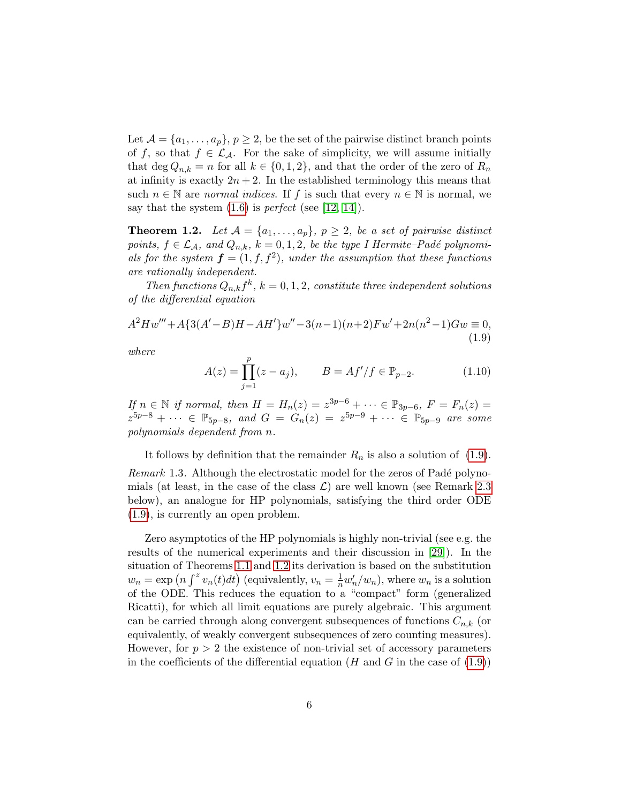Let  $\mathcal{A} = \{a_1, \ldots, a_p\}, p \geq 2$ , be the set of the pairwise distinct branch points of f, so that  $f \in \mathcal{L}_{\mathcal{A}}$ . For the sake of simplicity, we will assume initially that deg  $Q_{n,k} = n$  for all  $k \in \{0,1,2\}$ , and that the order of the zero of  $R_n$ at infinity is exactly  $2n + 2$ . In the established terminology this means that such  $n \in \mathbb{N}$  are normal indices. If f is such that every  $n \in \mathbb{N}$  is normal, we say that the system  $(1.6)$  is *perfect* (see [\[12,](#page-35-6) [14\]](#page-35-7)).

<span id="page-5-1"></span>**Theorem 1.2.** Let  $A = \{a_1, \ldots, a_p\}, p \geq 2$ , be a set of pairwise distinct points,  $f \in \mathcal{L}_\mathcal{A}$ , and  $Q_{n,k}$ ,  $k = 0, 1, 2$ , be the type I Hermite–Padé polynomials for the system  $\boldsymbol{f} = (1, f, f^2)$ , under the assumption that these functions are rationally independent.

Then functions  $Q_{n,k}f^k$ ,  $k=0,1,2$ , constitute three independent solutions of the differential equation

<span id="page-5-0"></span>
$$
A2Hw''' + A{3(A'-B)H - AH'}w'' - 3(n-1)(n+2)Fw' + 2n(n2 - 1)Gw \equiv 0,
$$
\n(1.9)

where

<span id="page-5-2"></span>
$$
A(z) = \prod_{j=1}^{p} (z - a_j), \qquad B = Af'/f \in \mathbb{P}_{p-2}.
$$
 (1.10)

If  $n \in \mathbb{N}$  if normal, then  $H = H_n(z) = z^{3p-6} + \cdots \in \mathbb{P}_{3p-6}, F = F_n(z) =$  $z^{5p-8} + \cdots \in \mathbb{P}_{5p-8}$ , and  $G = G_n(z) = z^{5p-9} + \cdots \in \mathbb{P}_{5p-9}$  are some polynomials dependent from n.

It follows by definition that the remainder  $R_n$  is also a solution of [\(1.9\)](#page-5-0). Remark 1.3. Although the electrostatic model for the zeros of Padé polynomials (at least, in the case of the class  $\mathcal{L}$ ) are well known (see Remark [2.3](#page-13-0) below), an analogue for HP polynomials, satisfying the third order ODE [\(1.9\)](#page-5-0), is currently an open problem.

Zero asymptotics of the HP polynomials is highly non-trivial (see e.g. the results of the numerical experiments and their discussion in [\[29\]](#page-36-0)). In the situation of Theorems [1.1](#page-3-1) and [1.2](#page-5-1) its derivation is based on the substitution  $w_n = \exp \left( n \int^z v_n(t) dt \right)$  (equivalently,  $v_n = \frac{1}{n} w'_n / w_n$ ), where  $w_n$  is a solution of the ODE. This reduces the equation to a "compact" form (generalized Ricatti), for which all limit equations are purely algebraic. This argument can be carried through along convergent subsequences of functions  $C_{n,k}$  (or equivalently, of weakly convergent subsequences of zero counting measures). However, for  $p > 2$  the existence of non-trivial set of accessory parameters in the coefficients of the differential equation ( $H$  and  $G$  in the case of  $(1.9)$ )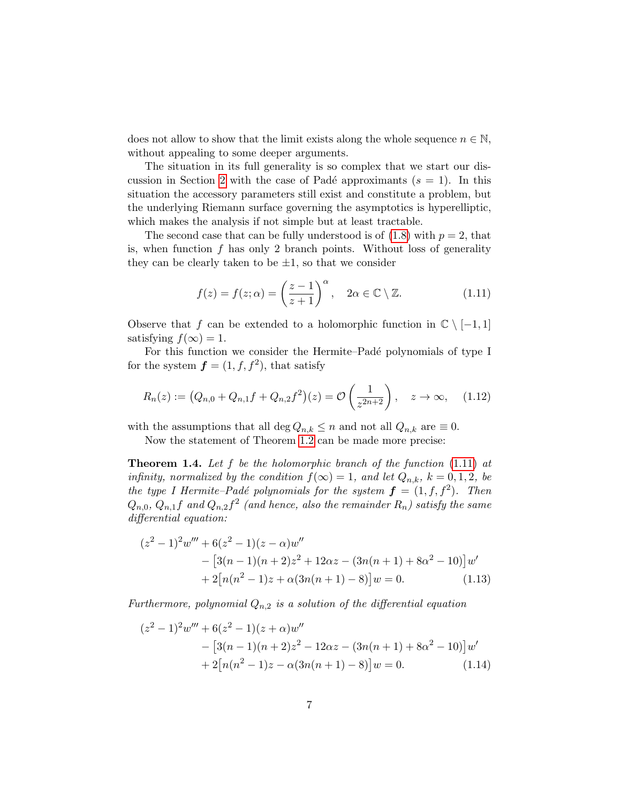does not allow to show that the limit exists along the whole sequence  $n \in \mathbb{N}$ , without appealing to some deeper arguments.

The situation in its full generality is so complex that we start our dis-cussion in Section [2](#page-11-0) with the case of Padé approximants  $(s = 1)$ . In this situation the accessory parameters still exist and constitute a problem, but the underlying Riemann surface governing the asymptotics is hyperelliptic, which makes the analysis if not simple but at least tractable.

The second case that can be fully understood is of  $(1.8)$  with  $p = 2$ , that is, when function  $f$  has only 2 branch points. Without loss of generality they can be clearly taken to be  $\pm 1$ , so that we consider

<span id="page-6-0"></span>
$$
f(z) = f(z; \alpha) = \left(\frac{z-1}{z+1}\right)^{\alpha}, \quad 2\alpha \in \mathbb{C} \setminus \mathbb{Z}.
$$
 (1.11)

Observe that f can be extended to a holomorphic function in  $\mathbb{C} \setminus [-1,1]$ satisfying  $f(\infty) = 1$ .

For this function we consider the Hermite–Padé polynomials of type I for the system  $f = (1, f, f^2)$ , that satisfy

<span id="page-6-4"></span>
$$
R_n(z) := (Q_{n,0} + Q_{n,1}f + Q_{n,2}f^2)(z) = \mathcal{O}\left(\frac{1}{z^{2n+2}}\right), \quad z \to \infty,
$$
 (1.12)

with the assumptions that all deg  $Q_{n,k} \leq n$  and not all  $Q_{n,k}$  are  $\equiv 0$ .

Now the statement of Theorem [1.2](#page-5-1) can be made more precise:

<span id="page-6-3"></span>**Theorem 1.4.** Let  $f$  be the holomorphic branch of the function  $(1.11)$  at infinity, normalized by the condition  $f(\infty) = 1$ , and let  $Q_{n,k}$ ,  $k = 0,1,2$ , be the type I Hermite–Padé polynomials for the system  $\boldsymbol{f} = (1, f, f^2)$ . Then  $Q_{n,0}, Q_{n,1}f$  and  $Q_{n,2}f^2$  (and hence, also the remainder  $R_n$ ) satisfy the same differential equation:

<span id="page-6-2"></span>
$$
(z2 - 1)2w''' + 6(z2 - 1)(z - \alpha)w''
$$
  
– [3(n - 1)(n + 2)z<sup>2</sup> + 12\alpha z - (3n(n + 1) + 8\alpha<sup>2</sup> - 10)]w'  
+ 2[n(n<sup>2</sup> - 1)z + \alpha(3n(n + 1) - 8)]w = 0. (1.13)

Furthermore, polynomial  $Q_{n,2}$  is a solution of the differential equation

<span id="page-6-1"></span>
$$
(z2 - 1)2w''' + 6(z2 - 1)(z + \alpha)w''
$$
  
– [3(n - 1)(n + 2)z<sup>2</sup> - 12\alpha z - (3n(n + 1) + 8\alpha<sup>2</sup> - 10)]w'  
+ 2[n(n<sup>2</sup> - 1)z - \alpha(3n(n + 1) - 8)]w = 0. (1.14)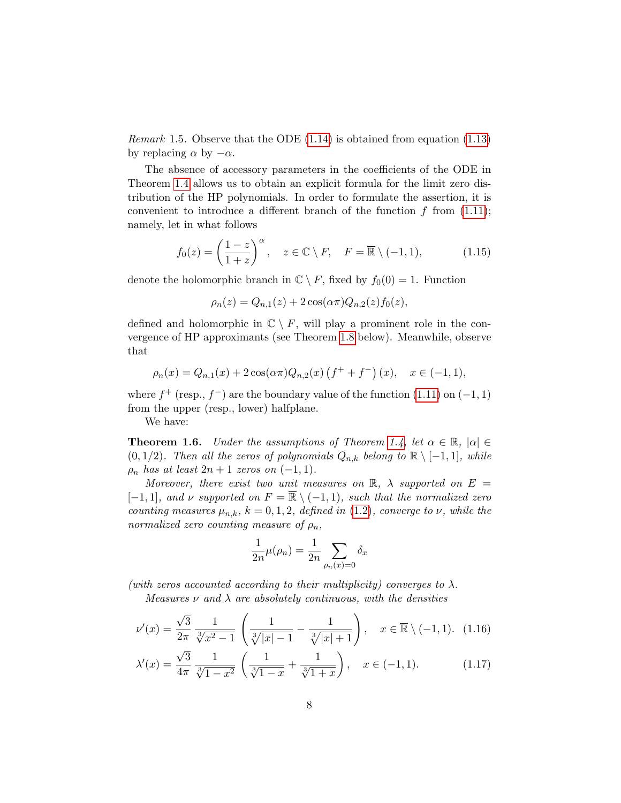*Remark* 1.5. Observe that the ODE  $(1.14)$  is obtained from equation  $(1.13)$ by replacing  $\alpha$  by  $-\alpha$ .

The absence of accessory parameters in the coefficients of the ODE in Theorem [1.4](#page-6-3) allows us to obtain an explicit formula for the limit zero distribution of the HP polynomials. In order to formulate the assertion, it is convenient to introduce a different branch of the function  $f$  from  $(1.11)$ ; namely, let in what follows

<span id="page-7-3"></span>
$$
f_0(z) = \left(\frac{1-z}{1+z}\right)^{\alpha}, \quad z \in \mathbb{C} \setminus F, \quad F = \overline{\mathbb{R}} \setminus (-1,1), \tag{1.15}
$$

denote the holomorphic branch in  $\mathbb{C} \setminus F$ , fixed by  $f_0(0) = 1$ . Function

$$
\rho_n(z) = Q_{n,1}(z) + 2\cos(\alpha \pi) Q_{n,2}(z) f_0(z),
$$

defined and holomorphic in  $\mathbb{C} \setminus F$ , will play a prominent role in the convergence of HP approximants (see Theorem [1.8](#page-9-0) below). Meanwhile, observe that

$$
\rho_n(x) = Q_{n,1}(x) + 2\cos(\alpha \pi) Q_{n,2}(x) (f^+ + f^-)(x), \quad x \in (-1,1),
$$

where  $f^+$  (resp.,  $f^-$ ) are the boundary value of the function [\(1.11\)](#page-6-0) on (-1, 1) from the upper (resp., lower) halfplane.

We have:

<span id="page-7-2"></span>**Theorem 1.6.** Under the assumptions of Theorem [1.4,](#page-6-3) let  $\alpha \in \mathbb{R}$ ,  $|\alpha| \in$  $(0, 1/2)$ . Then all the zeros of polynomials  $Q_{n,k}$  belong to  $\mathbb{R} \setminus [-1,1]$ , while  $\rho_n$  has at least  $2n + 1$  zeros on  $(-1, 1)$ .

Moreover, there exist two unit measures on  $\mathbb{R}$ ,  $\lambda$  supported on  $E =$  $[-1, 1]$ , and v supported on  $F = \overline{\mathbb{R}} \setminus (-1, 1)$ , such that the normalized zero counting measures  $\mu_{n,k}$ ,  $k = 0, 1, 2$ , defined in [\(1.2\)](#page-2-0), converge to  $\nu$ , while the normalized zero counting measure of  $\rho_n$ ,

<span id="page-7-1"></span><span id="page-7-0"></span>
$$
\frac{1}{2n}\mu(\rho_n) = \frac{1}{2n} \sum_{\rho_n(x)=0} \delta_x
$$

(with zeros accounted according to their multiplicity) converges to  $\lambda$ .

Measures  $\nu$  and  $\lambda$  are absolutely continuous, with the densities

$$
\nu'(x) = \frac{\sqrt{3}}{2\pi} \frac{1}{\sqrt[3]{x^2 - 1}} \left( \frac{1}{\sqrt[3]{|x| - 1}} - \frac{1}{\sqrt[3]{|x| + 1}} \right), \quad x \in \overline{\mathbb{R}} \setminus (-1, 1). \tag{1.16}
$$

$$
\lambda'(x) = \frac{\sqrt{3}}{4\pi} \frac{1}{\sqrt[3]{1-x^2}} \left( \frac{1}{\sqrt[3]{1-x}} + \frac{1}{\sqrt[3]{1+x}} \right), \quad x \in (-1,1). \tag{1.17}
$$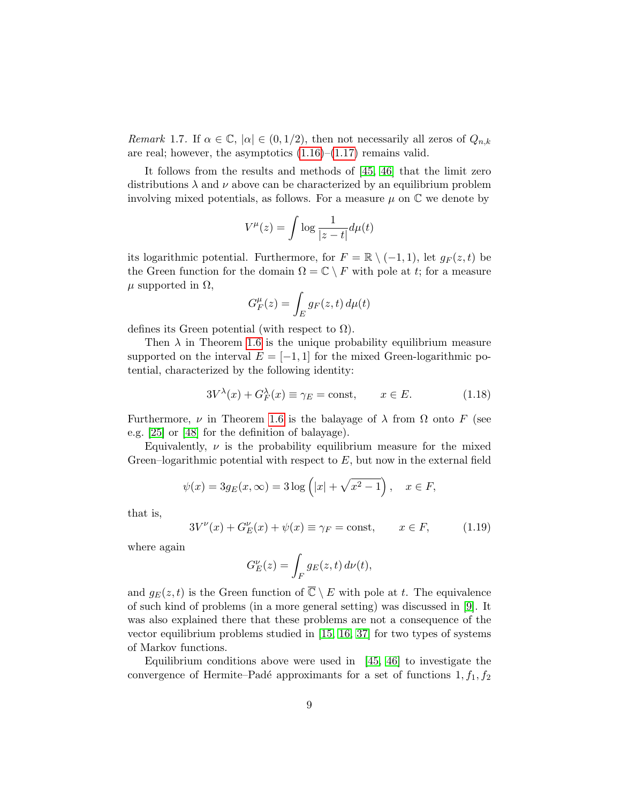Remark 1.7. If  $\alpha \in \mathbb{C}$ ,  $|\alpha| \in (0, 1/2)$ , then not necessarily all zeros of  $Q_{n,k}$ are real; however, the asymptotics  $(1.16)$ – $(1.17)$  remains valid.

It follows from the results and methods of [\[45,](#page-38-7) [46\]](#page-38-8) that the limit zero distributions  $\lambda$  and  $\nu$  above can be characterized by an equilibrium problem involving mixed potentials, as follows. For a measure  $\mu$  on  $\mathbb C$  we denote by

$$
V^{\mu}(z) = \int \log \frac{1}{|z - t|} d\mu(t)
$$

its logarithmic potential. Furthermore, for  $F = \mathbb{R} \setminus (-1, 1)$ , let  $q_F(z, t)$  be the Green function for the domain  $\Omega = \mathbb{C} \setminus F$  with pole at t; for a measure  $\mu$  supported in  $\Omega$ ,

$$
G_F^{\mu}(z) = \int_E g_F(z, t) \, d\mu(t)
$$

defines its Green potential (with respect to  $\Omega$ ).

Then  $\lambda$  in Theorem [1.6](#page-7-2) is the unique probability equilibrium measure supported on the interval  $E = [-1, 1]$  for the mixed Green-logarithmic potential, characterized by the following identity:

$$
3V^{\lambda}(x) + G_F^{\lambda}(x) \equiv \gamma_E = \text{const}, \qquad x \in E. \tag{1.18}
$$

Furthermore,  $\nu$  in Theorem [1.6](#page-7-2) is the balayage of  $\lambda$  from  $\Omega$  onto F (see e.g. [\[25\]](#page-36-1) or [\[48\]](#page-38-9) for the definition of balayage).

Equivalently,  $\nu$  is the probability equilibrium measure for the mixed Green–logarithmic potential with respect to  $E$ , but now in the external field

$$
\psi(x) = 3g_E(x, \infty) = 3\log(|x| + \sqrt{x^2 - 1}), \quad x \in F,
$$

that is,

$$
3V^{\nu}(x) + G_E^{\nu}(x) + \psi(x) \equiv \gamma_F = \text{const}, \qquad x \in F, \tag{1.19}
$$

where again

$$
G_E^{\nu}(z) = \int_F g_E(z, t) d\nu(t),
$$

and  $g_E(z, t)$  is the Green function of  $\overline{\mathbb{C}} \setminus E$  with pole at t. The equivalence of such kind of problems (in a more general setting) was discussed in [\[9\]](#page-34-5). It was also explained there that these problems are not a consequence of the vector equilibrium problems studied in [\[15,](#page-35-8) [16,](#page-35-9) [37\]](#page-37-6) for two types of systems of Markov functions.

Equilibrium conditions above were used in  $[45, 46]$  $[45, 46]$  to investigate the convergence of Hermite–Padé approximants for a set of functions  $1, f_1, f_2$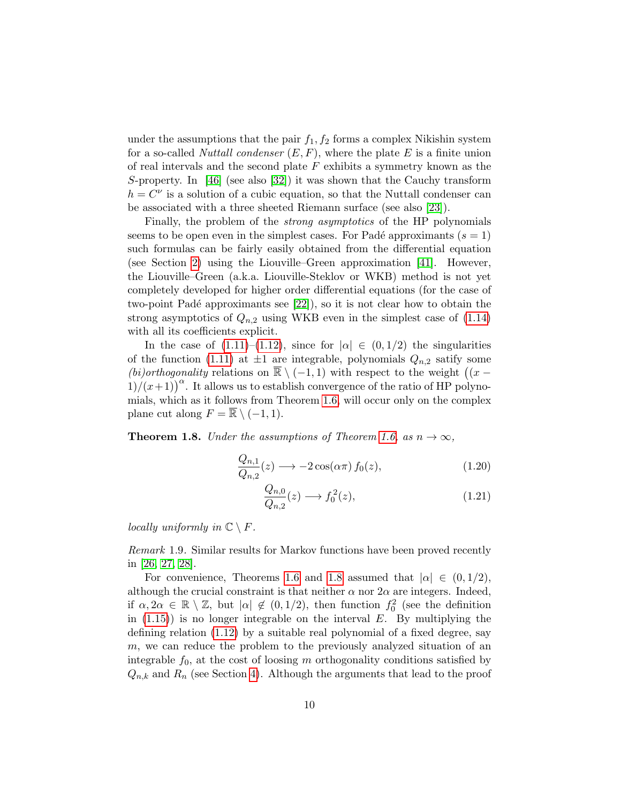under the assumptions that the pair  $f_1, f_2$  forms a complex Nikishin system for a so-called *Nuttall condenser*  $(E, F)$ , where the plate E is a finite union of real intervals and the second plate  $F$  exhibits a symmetry known as the S-property. In [\[46\]](#page-38-8) (see also [\[32\]](#page-36-2)) it was shown that the Cauchy transform  $h = C^{\nu}$  is a solution of a cubic equation, so that the Nuttall condenser can be associated with a three sheeted Riemann surface (see also [\[23\]](#page-36-3)).

Finally, the problem of the strong asymptotics of the HP polynomials seems to be open even in the simplest cases. For Padé approximants  $(s = 1)$ such formulas can be fairly easily obtained from the differential equation (see Section [2\)](#page-11-0) using the Liouville–Green approximation [\[41\]](#page-37-7). However, the Liouville–Green (a.k.a. Liouville-Steklov or WKB) method is not yet completely developed for higher order differential equations (for the case of two-point Padé approximants see  $[22]$ , so it is not clear how to obtain the strong asymptotics of  $Q_{n,2}$  using WKB even in the simplest case of  $(1.14)$ with all its coefficients explicit.

In the case of  $(1.11)–(1.12)$  $(1.11)–(1.12)$  $(1.11)–(1.12)$ , since for  $|\alpha| \in (0,1/2)$  the singularities of the function [\(1.11\)](#page-6-0) at  $\pm 1$  are integrable, polynomials  $Q_{n,2}$  satify some (bi)orthogonality relations on  $\overline{\mathbb{R}} \setminus (-1,1)$  with respect to the weight  $((x 1/(x+1)^{\alpha}$ . It allows us to establish convergence of the ratio of HP polynomials, which as it follows from Theorem [1.6,](#page-7-2) will occur only on the complex plane cut along  $F = \overline{\mathbb{R}} \setminus (-1, 1)$ .

<span id="page-9-0"></span>**Theorem 1.8.** Under the assumptions of Theorem [1.6,](#page-7-2) as  $n \to \infty$ ,

$$
\frac{Q_{n,1}}{Q_{n,2}}(z) \longrightarrow -2\cos(\alpha \pi) f_0(z), \qquad (1.20)
$$

<span id="page-9-2"></span><span id="page-9-1"></span>
$$
\frac{Q_{n,0}}{Q_{n,2}}(z) \longrightarrow f_0^2(z),\tag{1.21}
$$

locally uniformly in  $\mathbb{C} \setminus F$ .

Remark 1.9. Similar results for Markov functions have been proved recently in [\[26,](#page-36-5) [27,](#page-36-6) [28\]](#page-36-7).

For convenience, Theorems [1.6](#page-7-2) and [1.8](#page-9-0) assumed that  $|\alpha| \in (0, 1/2)$ , although the crucial constraint is that neither  $\alpha$  nor  $2\alpha$  are integers. Indeed, if  $\alpha, 2\alpha \in \mathbb{R} \setminus \mathbb{Z}$ , but  $|\alpha| \notin (0, 1/2)$ , then function  $f_0^2$  (see the definition in  $(1.15)$ ) is no longer integrable on the interval E. By multiplying the defining relation [\(1.12\)](#page-6-4) by a suitable real polynomial of a fixed degree, say m, we can reduce the problem to the previously analyzed situation of an integrable  $f_0$ , at the cost of loosing m orthogonality conditions satisfied by  $Q_{n,k}$  and  $R_n$  (see Section [4\)](#page-25-0). Although the arguments that lead to the proof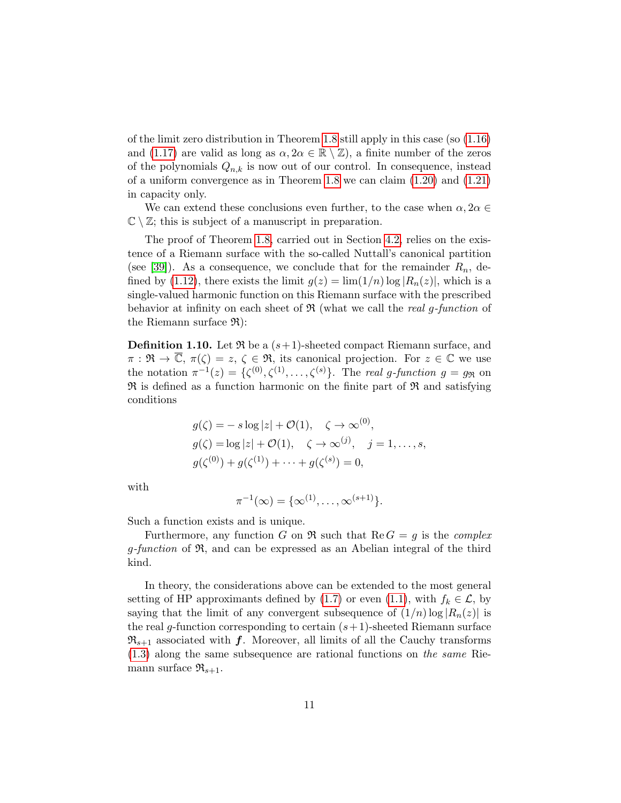of the limit zero distribution in Theorem [1.8](#page-9-0) still apply in this case (so [\(1.16\)](#page-7-0) and [\(1.17\)](#page-7-1) are valid as long as  $\alpha, 2\alpha \in \mathbb{R} \setminus \mathbb{Z}$ ), a finite number of the zeros of the polynomials  $Q_{n,k}$  is now out of our control. In consequence, instead of a uniform convergence as in Theorem [1.8](#page-9-0) we can claim [\(1.20\)](#page-9-1) and [\(1.21\)](#page-9-2) in capacity only.

We can extend these conclusions even further, to the case when  $\alpha, 2\alpha \in$  $\mathbb{C} \setminus \mathbb{Z}$ ; this is subject of a manuscript in preparation.

The proof of Theorem [1.8,](#page-9-0) carried out in Section [4.2,](#page-31-0) relies on the existence of a Riemann surface with the so-called Nuttall's canonical partition (see [\[39\]](#page-37-0)). As a consequence, we conclude that for the remainder  $R_n$ , de-fined by [\(1.12\)](#page-6-4), there exists the limit  $g(z) = \lim_{n \to \infty} (1/n) \log |R_n(z)|$ , which is a single-valued harmonic function on this Riemann surface with the prescribed behavior at infinity on each sheet of  $\Re$  (what we call the *real g-function* of the Riemann surface  $\mathfrak{R}$ :

<span id="page-10-0"></span>**Definition 1.10.** Let  $\Re$  be a  $(s+1)$ -sheeted compact Riemann surface, and  $\pi : \mathfrak{R} \to \overline{\mathbb{C}}, \ \pi(\zeta) = z, \ \zeta \in \mathfrak{R}, \ \text{its canonical projection. For } z \in \mathbb{C} \ \text{we use}$ the notation  $\pi^{-1}(z) = {\{\zeta^{(0)}, \zeta^{(1)}, \ldots, \zeta^{(s)}\}}$ . The real g-function  $g = g_{\Re}$  on  $\mathfrak{R}$  is defined as a function harmonic on the finite part of  $\mathfrak{R}$  and satisfying conditions

$$
g(\zeta) = -s \log |z| + \mathcal{O}(1), \quad \zeta \to \infty^{(0)},
$$
  
\n
$$
g(\zeta) = \log |z| + \mathcal{O}(1), \quad \zeta \to \infty^{(j)}, \quad j = 1, ..., s,
$$
  
\n
$$
g(\zeta^{(0)}) + g(\zeta^{(1)}) + \dots + g(\zeta^{(s)}) = 0,
$$

with

$$
\pi^{-1}(\infty) = \{\infty^{(1)}, \ldots, \infty^{(s+1)}\}.
$$

Such a function exists and is unique.

Furthermore, any function G on  $\Re$  such that Re  $G = g$  is the *complex*  $q$ -function of  $\mathfrak{R}$ , and can be expressed as an Abelian integral of the third kind.

In theory, the considerations above can be extended to the most general setting of HP approximants defined by [\(1.7\)](#page-4-2) or even [\(1.1\)](#page-1-0), with  $f_k \in \mathcal{L}$ , by saying that the limit of any convergent subsequence of  $(1/n) \log |R_n(z)|$  is the real g-function corresponding to certain  $(s+1)$ -sheeted Riemann surface  $\mathfrak{R}_{s+1}$  associated with f. Moreover, all limits of all the Cauchy transforms [\(1.3\)](#page-2-1) along the same subsequence are rational functions on the same Riemann surface  $\mathfrak{R}_{s+1}$ .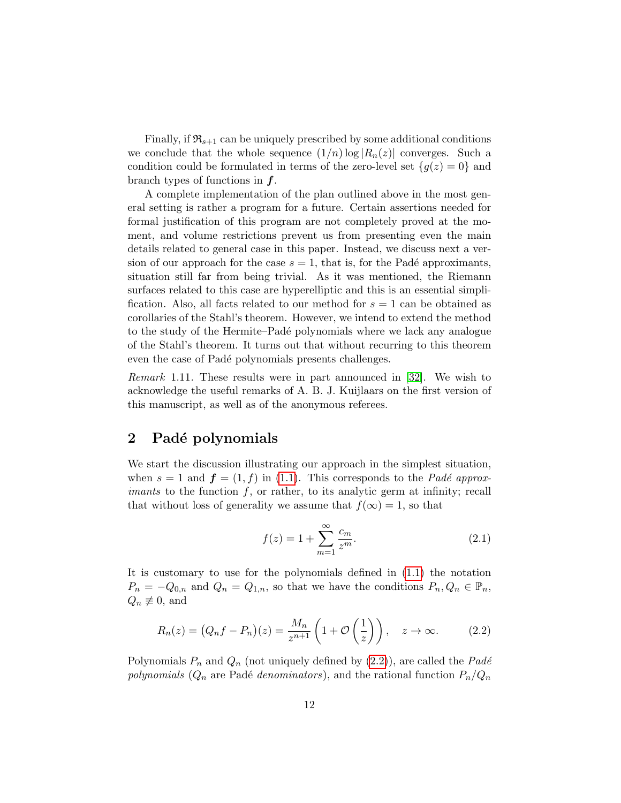Finally, if  $\mathfrak{R}_{s+1}$  can be uniquely prescribed by some additional conditions we conclude that the whole sequence  $(1/n) \log |R_n(z)|$  converges. Such a condition could be formulated in terms of the zero-level set  ${g(z) = 0}$  and branch types of functions in f.

A complete implementation of the plan outlined above in the most general setting is rather a program for a future. Certain assertions needed for formal justification of this program are not completely proved at the moment, and volume restrictions prevent us from presenting even the main details related to general case in this paper. Instead, we discuss next a version of our approach for the case  $s = 1$ , that is, for the Padé approximants, situation still far from being trivial. As it was mentioned, the Riemann surfaces related to this case are hyperelliptic and this is an essential simplification. Also, all facts related to our method for  $s = 1$  can be obtained as corollaries of the Stahl's theorem. However, we intend to extend the method to the study of the Hermite–Padé polynomials where we lack any analogue of the Stahl's theorem. It turns out that without recurring to this theorem even the case of Padé polynomials presents challenges.

Remark 1.11. These results were in part announced in [\[32\]](#page-36-2). We wish to acknowledge the useful remarks of A. B. J. Kuijlaars on the first version of this manuscript, as well as of the anonymous referees.

### <span id="page-11-0"></span>2 Padé polynomials

We start the discussion illustrating our approach in the simplest situation, when  $s = 1$  and  $f = (1, f)$  in [\(1.1\)](#page-1-0). This corresponds to the *Padé approximants* to the function  $f$ , or rather, to its analytic germ at infinity; recall that without loss of generality we assume that  $f(\infty) = 1$ , so that

<span id="page-11-2"></span>
$$
f(z) = 1 + \sum_{m=1}^{\infty} \frac{c_m}{z^m}.
$$
 (2.1)

It is customary to use for the polynomials defined in [\(1.1\)](#page-1-0) the notation  $P_n = -Q_{0,n}$  and  $Q_n = Q_{1,n}$ , so that we have the conditions  $P_n, Q_n \in \mathbb{P}_n$ ,  $Q_n \not\equiv 0$ , and

<span id="page-11-1"></span>
$$
R_n(z) = (Q_n f - P_n)(z) = \frac{M_n}{z^{n+1}} \left( 1 + \mathcal{O}\left(\frac{1}{z}\right) \right), \quad z \to \infty.
$$
 (2.2)

Polynomials  $P_n$  and  $Q_n$  (not uniquely defined by [\(2.2\)](#page-11-1)), are called the Padé polynomials  $(Q_n$  are Padé denominators), and the rational function  $P_n/Q_n$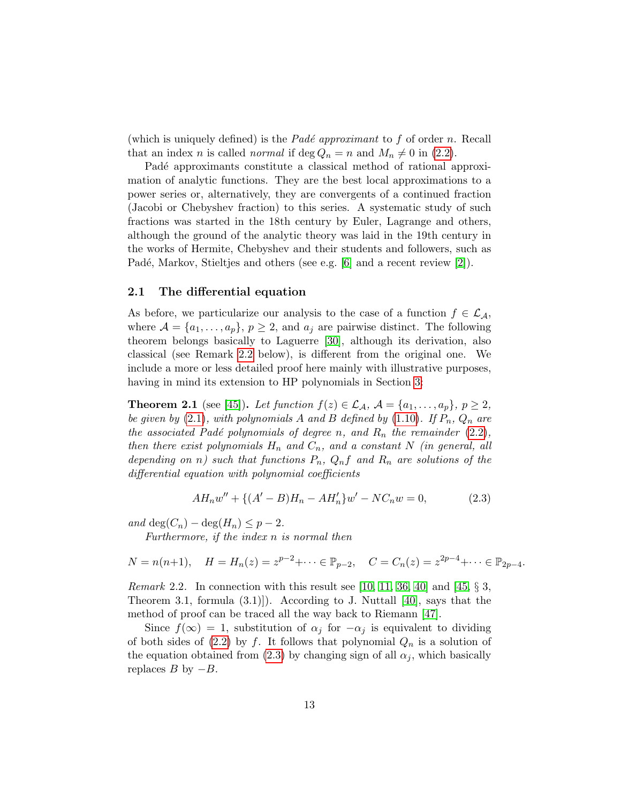(which is uniquely defined) is the *Padé approximant* to f of order n. Recall that an index *n* is called *normal* if  $\deg Q_n = n$  and  $M_n \neq 0$  in [\(2.2\)](#page-11-1).

Padé approximants constitute a classical method of rational approximation of analytic functions. They are the best local approximations to a power series or, alternatively, they are convergents of a continued fraction (Jacobi or Chebyshev fraction) to this series. A systematic study of such fractions was started in the 18th century by Euler, Lagrange and others, although the ground of the analytic theory was laid in the 19th century in the works of Hermite, Chebyshev and their students and followers, such as Padé, Markov, Stieltjes and others (see e.g. [\[6\]](#page-34-6) and a recent review [\[2\]](#page-34-0)).

#### <span id="page-12-3"></span>2.1 The differential equation

As before, we particularize our analysis to the case of a function  $f \in \mathcal{L}_{\mathcal{A}}$ , where  $\mathcal{A} = \{a_1, \ldots, a_p\}, p \geq 2$ , and  $a_j$  are pairwise distinct. The following theorem belongs basically to Laguerre [\[30\]](#page-36-8), although its derivation, also classical (see Remark [2.2](#page-12-0) below), is different from the original one. We include a more or less detailed proof here mainly with illustrative purposes, having in mind its extension to HP polynomials in Section [3:](#page-20-1)

<span id="page-12-2"></span>**Theorem 2.1** (see [\[45\]](#page-38-7)). Let function  $f(z) \in \mathcal{L}_{\mathcal{A}}, \mathcal{A} = \{a_1, \ldots, a_p\}, p \geq 2$ , be given by [\(2.1\)](#page-11-2), with polynomials A and B defined by [\(1.10\)](#page-5-2). If  $P_n$ ,  $Q_n$  are the associated Padé polynomials of degree n, and  $R_n$  the remainder  $(2.2)$ , then there exist polynomials  $H_n$  and  $C_n$ , and a constant N (in general, all depending on n) such that functions  $P_n$ ,  $Q_n f$  and  $R_n$  are solutions of the differential equation with polynomial coefficients

<span id="page-12-1"></span>
$$
AH_nw'' + \{(A' - B)H_n - AH'_n\}w' - NC_nw = 0,
$$
\n(2.3)

and deg( $C_n$ ) – deg( $H_n$ )  $\leq p-2$ .

Furthermore, if the index n is normal then

$$
N = n(n+1)
$$
,  $H = H_n(z) = z^{p-2} + \cdots \in \mathbb{P}_{p-2}$ ,  $C = C_n(z) = z^{2p-4} + \cdots \in \mathbb{P}_{2p-4}$ .

<span id="page-12-0"></span>*Remark* 2.2. In connection with this result see [\[10,](#page-34-7) [11,](#page-35-5) [36,](#page-37-8) [40\]](#page-37-5) and [\[45,](#page-38-7)  $\S$  3, Theorem 3.1, formula  $(3.1)$ . According to J. Nuttall [\[40\]](#page-37-5), says that the method of proof can be traced all the way back to Riemann [\[47\]](#page-38-10).

Since  $f(\infty) = 1$ , substitution of  $\alpha_j$  for  $-\alpha_j$  is equivalent to dividing of both sides of  $(2.2)$  by f. It follows that polynomial  $Q_n$  is a solution of the equation obtained from [\(2.3\)](#page-12-1) by changing sign of all  $\alpha_j$ , which basically replaces  $B$  by  $-B$ .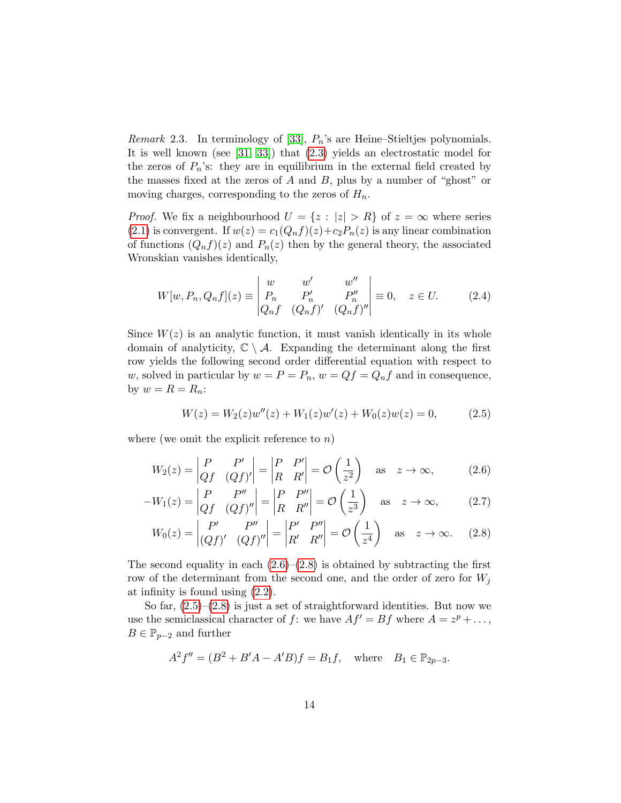<span id="page-13-0"></span>*Remark* 2.3. In terminology of [\[33\]](#page-37-3),  $P_n$ 's are Heine–Stieltjes polynomials. It is well known (see [\[31,](#page-36-9) [33\]](#page-37-3)) that [\(2.3\)](#page-12-1) yields an electrostatic model for the zeros of  $P_n$ 's: they are in equilibrium in the external field created by the masses fixed at the zeros of  $A$  and  $B$ , plus by a number of "ghost" or moving charges, corresponding to the zeros of  $H_n$ .

*Proof.* We fix a neighbourhood  $U = \{z : |z| > R\}$  of  $z = \infty$  where series [\(2.1\)](#page-11-2) is convergent. If  $w(z) = c_1(Q_nf)(z) + c_2P_n(z)$  is any linear combination of functions  $(Q_n f)(z)$  and  $P_n(z)$  then by the general theory, the associated Wronskian vanishes identically,

<span id="page-13-4"></span>
$$
W[w, P_n, Q_n f](z) \equiv \begin{vmatrix} w & w' & w'' \\ P_n & P'_n & P''_n \\ Q_n f & (Q_n f)' & (Q_n f)'' \end{vmatrix} \equiv 0, \quad z \in U. \tag{2.4}
$$

Since  $W(z)$  is an analytic function, it must vanish identically in its whole domain of analyticity,  $\mathbb{C} \setminus \mathcal{A}$ . Expanding the determinant along the first row yields the following second order differential equation with respect to w, solved in particular by  $w = P = P_n$ ,  $w = Qf = Q_nf$  and in consequence, by  $w = R = R_n$ :

<span id="page-13-5"></span><span id="page-13-3"></span><span id="page-13-2"></span><span id="page-13-1"></span>
$$
W(z) = W_2(z)w''(z) + W_1(z)w'(z) + W_0(z)w(z) = 0,
$$
\n(2.5)

where (we omit the explicit reference to  $n$ )

$$
W_2(z) = \begin{vmatrix} P & P' \\ Qf & (Qf)' \end{vmatrix} = \begin{vmatrix} P & P' \\ R & R' \end{vmatrix} = \mathcal{O}\left(\frac{1}{z^2}\right) \text{ as } z \to \infty,
$$
 (2.6)

$$
-W_1(z) = \begin{vmatrix} P & P'' \\ Qf & (Qf)'' \end{vmatrix} = \begin{vmatrix} P & P'' \\ R & R'' \end{vmatrix} = \mathcal{O}\left(\frac{1}{z^3}\right) \quad \text{as} \quad z \to \infty,
$$
 (2.7)

$$
W_0(z) = \begin{vmatrix} P' & P'' \\ (Qf)' & (Qf)'' \end{vmatrix} = \begin{vmatrix} P' & P'' \\ R' & R'' \end{vmatrix} = \mathcal{O}\left(\frac{1}{z^4}\right) \quad \text{as} \quad z \to \infty. \tag{2.8}
$$

The second equality in each  $(2.6)$ – $(2.8)$  is obtained by subtracting the first row of the determinant from the second one, and the order of zero for  $W_i$ at infinity is found using [\(2.2\)](#page-11-1).

So far,  $(2.5)$ – $(2.8)$  is just a set of straightforward identities. But now we use the semiclassical character of f: we have  $Af' = Bf$  where  $A = z^p + \ldots$ ,  $B \in \mathbb{P}_{p-2}$  and further

$$
A^{2} f'' = (B^{2} + B'A - A'B)f = B_{1}f, \text{ where } B_{1} \in \mathbb{P}_{2p-3}.
$$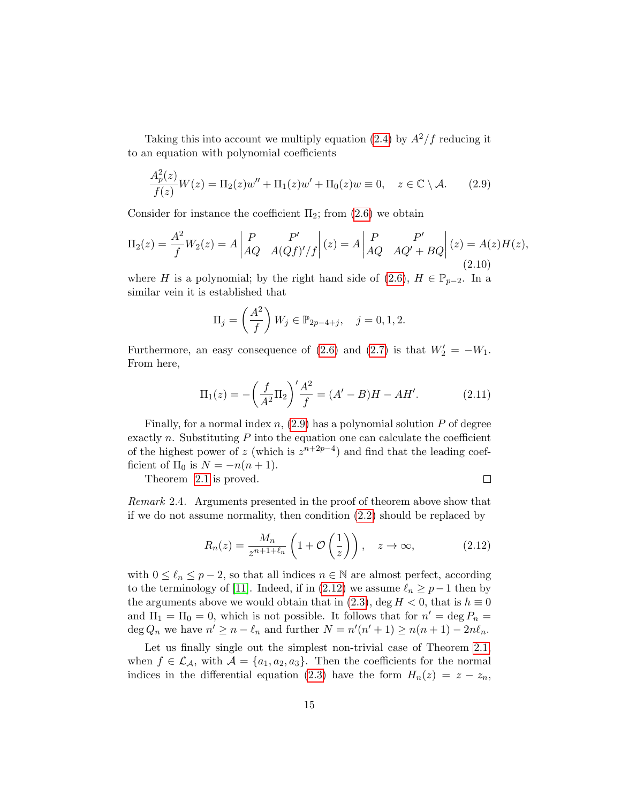Taking this into account we multiply equation [\(2.4\)](#page-13-4) by  $A^2/f$  reducing it to an equation with polynomial coefficients

<span id="page-14-0"></span>
$$
\frac{A_p^2(z)}{f(z)}W(z) = \Pi_2(z)w'' + \Pi_1(z)w' + \Pi_0(z)w \equiv 0, \quad z \in \mathbb{C} \setminus \mathcal{A}.
$$
 (2.9)

Consider for instance the coefficient  $\Pi_2$ ; from  $(2.6)$  we obtain

$$
\Pi_2(z) = \frac{A^2}{f} W_2(z) = A \begin{vmatrix} P & P' \\ AQ & A(Qf)'/f \end{vmatrix} (z) = A \begin{vmatrix} P & P' \\ AQ & AQ' + BQ \end{vmatrix} (z) = A(z)H(z),
$$
\n(2.10)

where H is a polynomial; by the right hand side of [\(2.6\)](#page-13-1),  $H \in \mathbb{P}_{p-2}$ . In a similar vein it is established that

$$
\Pi_j = \left(\frac{A^2}{f}\right) W_j \in \mathbb{P}_{2p-4+j}, \quad j = 0, 1, 2.
$$

Furthermore, an easy consequence of [\(2.6\)](#page-13-1) and [\(2.7\)](#page-13-5) is that  $W_2' = -W_1$ . From here,

$$
\Pi_1(z) = -\left(\frac{f}{A^2}\Pi_2\right)' \frac{A^2}{f} = (A' - B)H - AH'. \tag{2.11}
$$

Finally, for a normal index  $n$ , [\(2.9\)](#page-14-0) has a polynomial solution  $P$  of degree exactly n. Substituting  $P$  into the equation one can calculate the coefficient of the highest power of z (which is  $z^{n+2p-4}$ ) and find that the leading coefficient of  $\Pi_0$  is  $N = -n(n+1)$ .

Theorem [2.1](#page-12-2) is proved.

 $\Box$ 

Remark 2.4. Arguments presented in the proof of theorem above show that if we do not assume normality, then condition [\(2.2\)](#page-11-1) should be replaced by

<span id="page-14-1"></span>
$$
R_n(z) = \frac{M_n}{z^{n+1+\ell_n}} \left( 1 + \mathcal{O}\left(\frac{1}{z}\right) \right), \quad z \to \infty,
$$
 (2.12)

with  $0 \leq \ell_n \leq p-2$ , so that all indices  $n \in \mathbb{N}$  are almost perfect, according to the terminology of [\[11\]](#page-35-5). Indeed, if in [\(2.12\)](#page-14-1) we assume  $\ell_n \ge p-1$  then by the arguments above we would obtain that in [\(2.3\)](#page-12-1), deg  $H < 0$ , that is  $h \equiv 0$ and  $\Pi_1 = \Pi_0 = 0$ , which is not possible. It follows that for  $n' = \deg P_n =$ deg  $Q_n$  we have  $n' \ge n - \ell_n$  and further  $N = n'(n'+1) \ge n(n+1) - 2n\ell_n$ .

Let us finally single out the simplest non-trivial case of Theorem [2.1,](#page-12-2) when  $f \in \mathcal{L}_{\mathcal{A}}$ , with  $\mathcal{A} = \{a_1, a_2, a_3\}$ . Then the coefficients for the normal indices in the differential equation [\(2.3\)](#page-12-1) have the form  $H_n(z) = z - z_n$ ,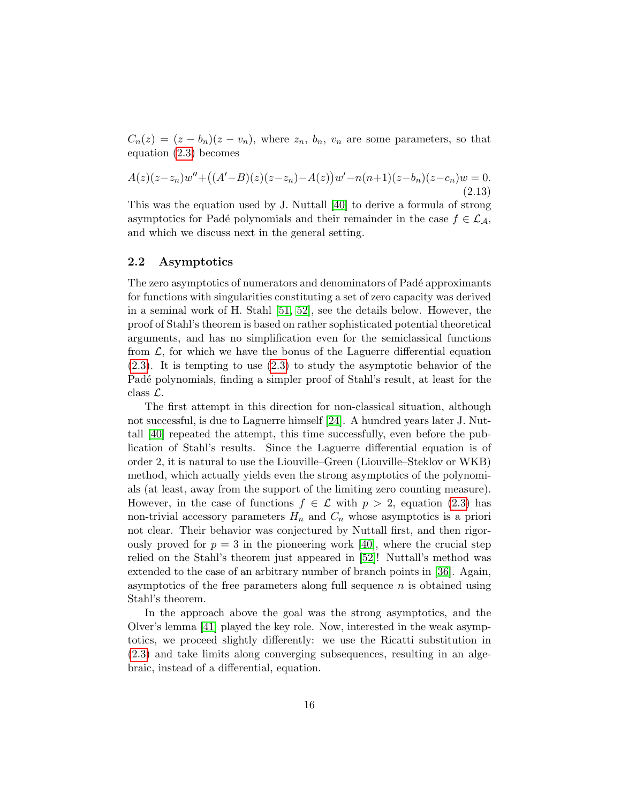$C_n(z) = (z - b_n)(z - v_n)$ , where  $z_n$ ,  $b_n$ ,  $v_n$  are some parameters, so that equation [\(2.3\)](#page-12-1) becomes

$$
A(z)(z-z_n)w'' + ((A'-B)(z)(z-z_n) - A(z))w' - n(n+1)(z-b_n)(z-c_n)w = 0.
$$
\n(2.13)

This was the equation used by J. Nuttall [\[40\]](#page-37-5) to derive a formula of strong asymptotics for Padé polynomials and their remainder in the case  $f \in \mathcal{L}_{\mathcal{A}}$ , and which we discuss next in the general setting.

#### 2.2 Asymptotics

The zero asymptotics of numerators and denominators of Padé approximants for functions with singularities constituting a set of zero capacity was derived in a seminal work of H. Stahl [\[51,](#page-38-1) [52\]](#page-38-2), see the details below. However, the proof of Stahl's theorem is based on rather sophisticated potential theoretical arguments, and has no simplification even for the semiclassical functions from  $\mathcal{L}$ , for which we have the bonus of the Laguerre differential equation [\(2.3\)](#page-12-1). It is tempting to use [\(2.3\)](#page-12-1) to study the asymptotic behavior of the Padé polynomials, finding a simpler proof of Stahl's result, at least for the class L.

The first attempt in this direction for non-classical situation, although not successful, is due to Laguerre himself [\[24\]](#page-36-10). A hundred years later J. Nuttall [\[40\]](#page-37-5) repeated the attempt, this time successfully, even before the publication of Stahl's results. Since the Laguerre differential equation is of order 2, it is natural to use the Liouville–Green (Liouville–Steklov or WKB) method, which actually yields even the strong asymptotics of the polynomials (at least, away from the support of the limiting zero counting measure). However, in the case of functions  $f \in \mathcal{L}$  with  $p > 2$ , equation [\(2.3\)](#page-12-1) has non-trivial accessory parameters  $H_n$  and  $C_n$  whose asymptotics is a priori not clear. Their behavior was conjectured by Nuttall first, and then rigorously proved for  $p = 3$  in the pioneering work [\[40\]](#page-37-5), where the crucial step relied on the Stahl's theorem just appeared in [\[52\]](#page-38-2)! Nuttall's method was extended to the case of an arbitrary number of branch points in [\[36\]](#page-37-8). Again, asymptotics of the free parameters along full sequence  $n$  is obtained using Stahl's theorem.

In the approach above the goal was the strong asymptotics, and the Olver's lemma [\[41\]](#page-37-7) played the key role. Now, interested in the weak asymptotics, we proceed slightly differently: we use the Ricatti substitution in [\(2.3\)](#page-12-1) and take limits along converging subsequences, resulting in an algebraic, instead of a differential, equation.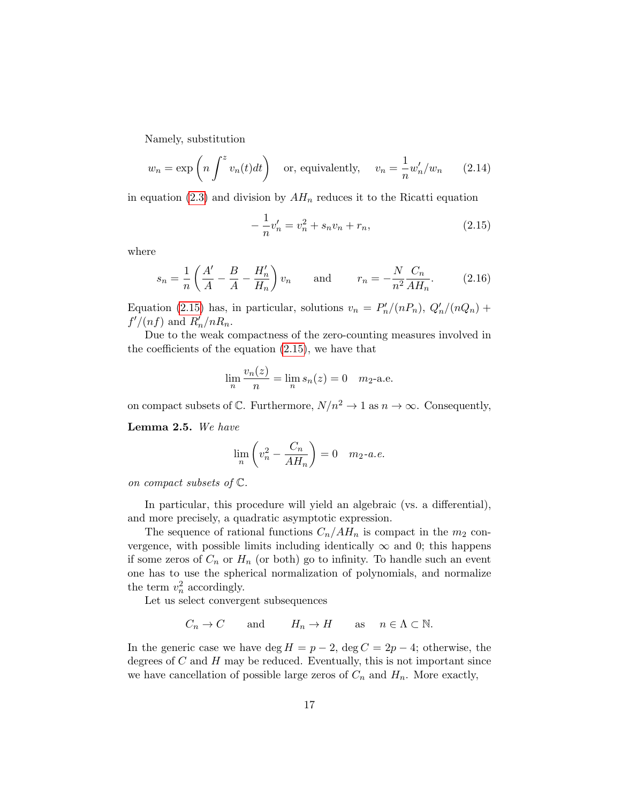Namely, substitution

$$
w_n = \exp\left(n \int^z v_n(t)dt\right) \quad \text{or, equivalently,} \quad v_n = \frac{1}{n} w'_n / w_n \qquad (2.14)
$$

in equation [\(2.3\)](#page-12-1) and division by  $AH_n$  reduces it to the Ricatti equation

<span id="page-16-0"></span>
$$
-\frac{1}{n}v'_n = v_n^2 + s_n v_n + r_n,\tag{2.15}
$$

where

$$
s_n = \frac{1}{n} \left( \frac{A'}{A} - \frac{B}{A} - \frac{H'_n}{H_n} \right) v_n \quad \text{and} \quad r_n = -\frac{N}{n^2} \frac{C_n}{AH_n}.
$$
 (2.16)

Equation [\(2.15\)](#page-16-0) has, in particular, solutions  $v_n = P'_n/(nP_n)$ ,  $Q'_n/(nQ_n)$  +  $f'/(nf)$  and  $R'_n/nR_n$ .

Due to the weak compactness of the zero-counting measures involved in the coefficients of the equation [\(2.15\)](#page-16-0), we have that

$$
\lim_{n} \frac{v_n(z)}{n} = \lim_{n} s_n(z) = 0 \quad m_2\text{-a.e.}
$$

on compact subsets of  $\mathbb C$ . Furthermore,  $N/n^2 \to 1$  as  $n \to \infty$ . Consequently,

Lemma 2.5. We have

$$
\lim_{n} \left( v_n^2 - \frac{C_n}{AH_n} \right) = 0 \quad m_2 \text{-} a.e.
$$

on compact subsets of C.

In particular, this procedure will yield an algebraic (vs. a differential), and more precisely, a quadratic asymptotic expression.

The sequence of rational functions  $C_n/AH_n$  is compact in the  $m_2$  convergence, with possible limits including identically  $\infty$  and 0; this happens if some zeros of  $C_n$  or  $H_n$  (or both) go to infinity. To handle such an event one has to use the spherical normalization of polynomials, and normalize the term  $v_n^2$  accordingly.

Let us select convergent subsequences

$$
C_n \to C
$$
 and  $H_n \to H$  as  $n \in \Lambda \subset \mathbb{N}$ .

In the generic case we have deg  $H = p - 2$ , deg  $C = 2p - 4$ ; otherwise, the degrees of  $C$  and  $H$  may be reduced. Eventually, this is not important since we have cancellation of possible large zeros of  $C_n$  and  $H_n$ . More exactly,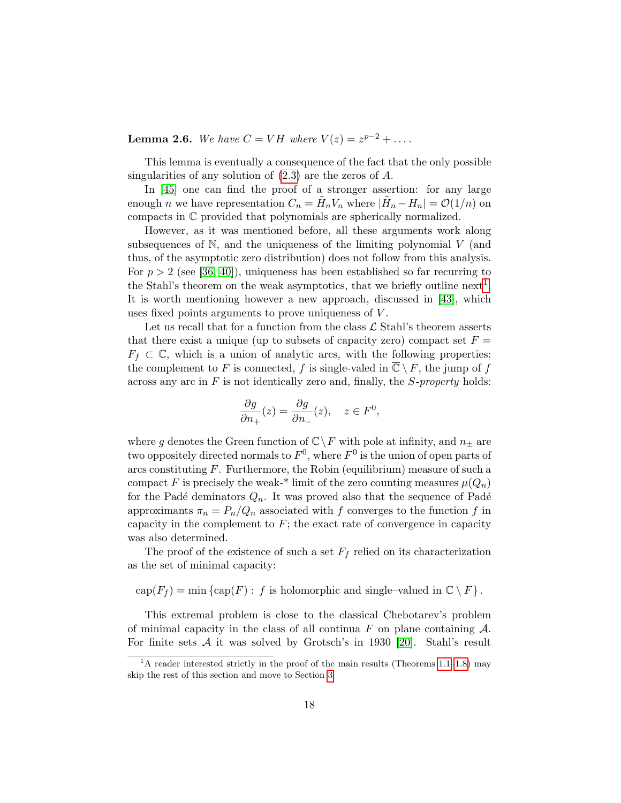**Lemma 2.6.** We have  $C = VH$  where  $V(z) = z^{p-2} + \ldots$ .

This lemma is eventually a consequence of the fact that the only possible singularities of any solution of [\(2.3\)](#page-12-1) are the zeros of A.

In [\[45\]](#page-38-7) one can find the proof of a stronger assertion: for any large enough *n* we have representation  $C_n = \tilde{H}_n V_n$  where  $|\tilde{H}_n - H_n| = \mathcal{O}(1/n)$  on compacts in C provided that polynomials are spherically normalized.

However, as it was mentioned before, all these arguments work along subsequences of  $N$ , and the uniqueness of the limiting polynomial  $V$  (and thus, of the asymptotic zero distribution) does not follow from this analysis. For  $p > 2$  (see [\[36,](#page-37-8) [40\]](#page-37-5)), uniqueness has been established so far recurring to the Stahl's theorem on the weak asymptotics, that we briefly outline next<sup>[1](#page-17-0)</sup>. It is worth mentioning however a new approach, discussed in [\[43\]](#page-37-9), which uses fixed points arguments to prove uniqueness of V .

Let us recall that for a function from the class  $\mathcal L$  Stahl's theorem asserts that there exist a unique (up to subsets of capacity zero) compact set  $F =$  $F_f \subset \mathbb{C}$ , which is a union of analytic arcs, with the following properties: the complement to F is connected, f is single-valed in  $\overline{\mathbb{C}} \setminus F$ , the jump of f across any arc in  $F$  is not identically zero and, finally, the  $S$ -property holds:

$$
\frac{\partial g}{\partial n_+}(z) = \frac{\partial g}{\partial n_-}(z), \quad z \in F^0,
$$

where g denotes the Green function of  $\mathbb{C}\backslash F$  with pole at infinity, and  $n_{\pm}$  are two oppositely directed normals to  $F^0$ , where  $F^0$  is the union of open parts of arcs constituting  $F$ . Furthermore, the Robin (equilibrium) measure of such a compact F is precisely the weak-\* limit of the zero counting measures  $\mu(Q_n)$ for the Padé deminators  $Q_n$ . It was proved also that the sequence of Padé approximants  $\pi_n = P_n/Q_n$  associated with f converges to the function f in capacity in the complement to  $F$ ; the exact rate of convergence in capacity was also determined.

The proof of the existence of such a set  $F_f$  relied on its characterization as the set of minimal capacity:

 $cap(F_f) = min \{ cap(F) : f \text{ is holomorphic and single-valued in } \mathbb{C} \setminus F \}.$ 

This extremal problem is close to the classical Chebotarev's problem of minimal capacity in the class of all continua  $F$  on plane containing  $\mathcal{A}$ . For finite sets  $A$  it was solved by Grotsch's in 1930 [\[20\]](#page-35-10). Stahl's result

<span id="page-17-0"></span><sup>&</sup>lt;sup>1</sup>A reader interested strictly in the proof of the main results (Theorems [1.1–](#page-3-1)[1.8\)](#page-9-0) may skip the rest of this section and move to Section [3.](#page-20-1)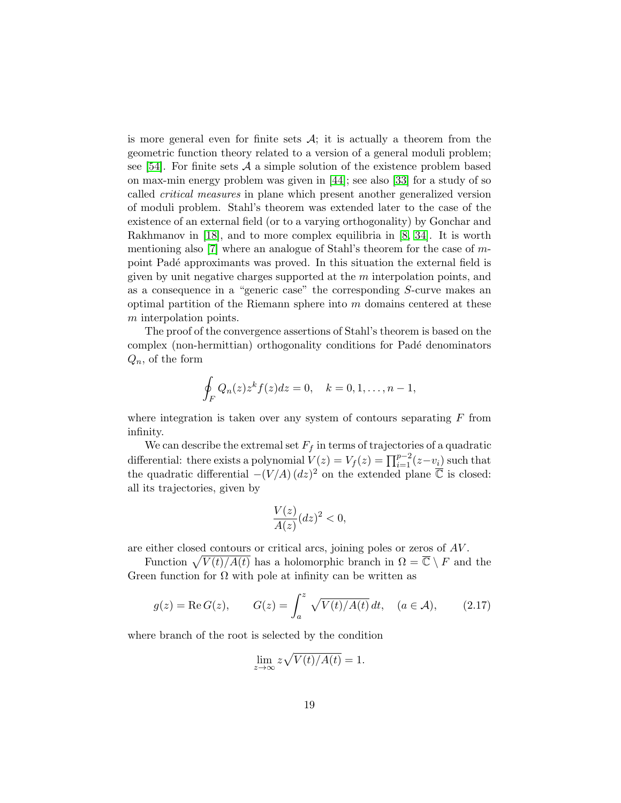is more general even for finite sets  $A$ ; it is actually a theorem from the geometric function theory related to a version of a general moduli problem; see [\[54\]](#page-38-11). For finite sets  $A$  a simple solution of the existence problem based on max-min energy problem was given in [\[44\]](#page-38-12); see also [\[33\]](#page-37-3) for a study of so called critical measures in plane which present another generalized version of moduli problem. Stahl's theorem was extended later to the case of the existence of an external field (or to a varying orthogonality) by Gonchar and Rakhmanov in [\[18\]](#page-35-3), and to more complex equilibria in [\[8,](#page-34-8) [34\]](#page-37-10). It is worth mentioning also [\[7\]](#page-34-9) where an analogue of Stahl's theorem for the case of mpoint Padé approximants was proved. In this situation the external field is given by unit negative charges supported at the  $m$  interpolation points, and as a consequence in a "generic case" the corresponding S-curve makes an optimal partition of the Riemann sphere into  $m$  domains centered at these m interpolation points.

The proof of the convergence assertions of Stahl's theorem is based on the complex (non-hermittian) orthogonality conditions for Padé denominators  $Q_n$ , of the form

$$
\oint_F Q_n(z)z^k f(z)dz = 0, \quad k = 0, 1, \dots, n-1,
$$

where integration is taken over any system of contours separating  $F$  from infinity.

We can describe the extremal set  $F_f$  in terms of trajectories of a quadratic differential: there exists a polynomial  $V(z) = V_f(z) = \prod_{i=1}^{p-2} (z-v_i)$  such that the quadratic differential  $-(V/A) (dz)^2$  on the extended plane  $\overline{\mathbb{C}}$  is closed: all its trajectories, given by

$$
\frac{V(z)}{A(z)}(dz)^2 < 0,
$$

are either closed contours or critical arcs, joining poles or zeros of AV .

Function  $\sqrt{V(t)/A(t)}$  has a holomorphic branch in  $\Omega = \overline{C} \setminus F$  and the Green function for  $\Omega$  with pole at infinity can be written as

<span id="page-18-0"></span>
$$
g(z) = \text{Re}\,G(z), \qquad G(z) = \int_a^z \sqrt{V(t)/A(t)}\,dt, \quad (a \in \mathcal{A}), \qquad (2.17)
$$

where branch of the root is selected by the condition

$$
\lim_{z \to \infty} z \sqrt{V(t)/A(t)} = 1.
$$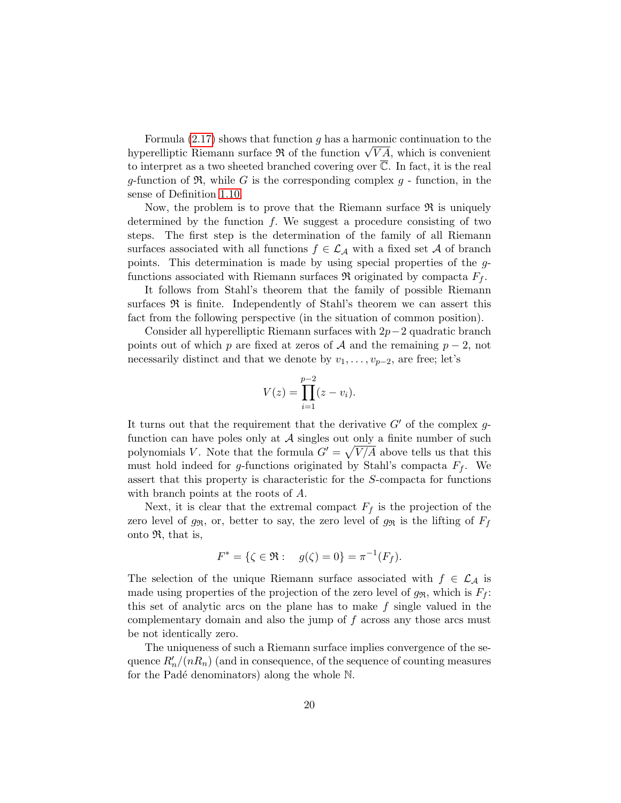Formula  $(2.17)$  shows that function g has a harmonic continuation to the Formula (2.17) shows that function g has a harmonic continuation to the hyperelliptic Riemann surface  $\Re$  of the function  $\sqrt{VA}$ , which is convenient to interpret as a two sheeted branched covering over  $\overline{\mathbb{C}}$ . In fact, it is the real g-function of  $\mathfrak{R}$ , while G is the corresponding complex g - function, in the sense of Definition [1.10.](#page-10-0)

Now, the problem is to prove that the Riemann surface  $\Re$  is uniquely determined by the function  $f$ . We suggest a procedure consisting of two steps. The first step is the determination of the family of all Riemann surfaces associated with all functions  $f \in \mathcal{L}_{\mathcal{A}}$  with a fixed set A of branch points. This determination is made by using special properties of the gfunctions associated with Riemann surfaces  $\Re$  originated by compacta  $F_f$ .

It follows from Stahl's theorem that the family of possible Riemann surfaces  $\Re$  is finite. Independently of Stahl's theorem we can assert this fact from the following perspective (in the situation of common position).

Consider all hyperelliptic Riemann surfaces with  $2p-2$  quadratic branch points out of which p are fixed at zeros of A and the remaining  $p-2$ , not necessarily distinct and that we denote by  $v_1, \ldots, v_{p-2}$ , are free; let's

$$
V(z) = \prod_{i=1}^{p-2} (z - v_i).
$$

It turns out that the requirement that the derivative  $G'$  of the complex qfunction can have poles only at  $A$  singles out only a finite number of such polynomials V. Note that the formula  $G' = \sqrt{V/A}$  above tells us that this must hold indeed for g-functions originated by Stahl's compacta  $F_f$ . We assert that this property is characteristic for the S-compacta for functions with branch points at the roots of A.

Next, it is clear that the extremal compact  $F_f$  is the projection of the zero level of  $g_{\Re}$ , or, better to say, the zero level of  $g_{\Re}$  is the lifting of  $F_f$ onto  $\mathfrak{R}$ , that is,

$$
F^* = \{ \zeta \in \mathfrak{R} : \quad g(\zeta) = 0 \} = \pi^{-1}(F_f).
$$

The selection of the unique Riemann surface associated with  $f \in \mathcal{L}_{\mathcal{A}}$  is made using properties of the projection of the zero level of  $g_{\Re}$ , which is  $F_f$ : this set of analytic arcs on the plane has to make  $f$  single valued in the complementary domain and also the jump of f across any those arcs must be not identically zero.

The uniqueness of such a Riemann surface implies convergence of the sequence  $R'_n/(nR_n)$  (and in consequence, of the sequence of counting measures for the Padé denominators) along the whole  $\mathbb N$ .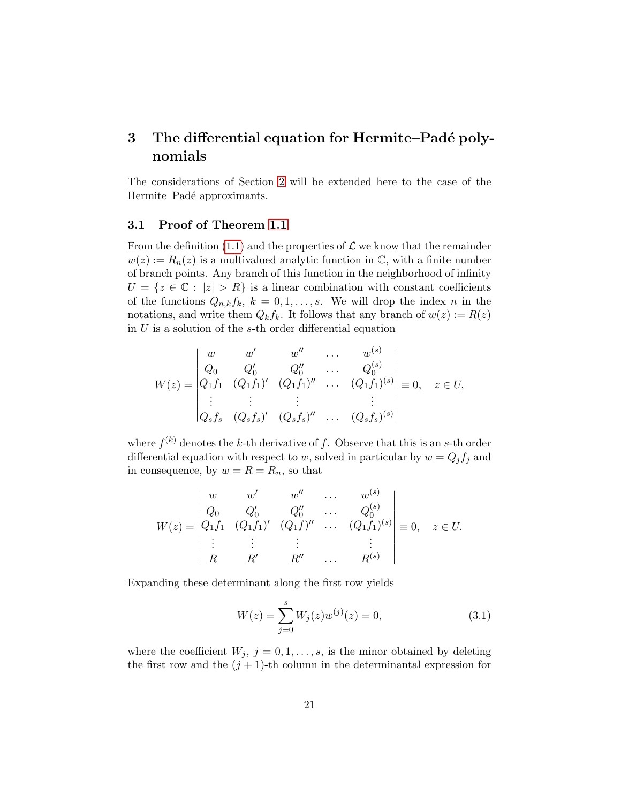## <span id="page-20-1"></span>3 The differential equation for Hermite–Padé polynomials

The considerations of Section [2](#page-11-0) will be extended here to the case of the Hermite–Padé approximants.

### <span id="page-20-0"></span>3.1 Proof of Theorem [1.1](#page-3-1)

From the definition [\(1.1\)](#page-1-0) and the properties of  $\mathcal L$  we know that the remainder  $w(z) := R_n(z)$  is a multivalued analytic function in C, with a finite number of branch points. Any branch of this function in the neighborhood of infinity  $U = \{z \in \mathbb{C} : |z| > R\}$  is a linear combination with constant coefficients of the functions  $Q_{n,k}f_k$ ,  $k = 0, 1, ..., s$ . We will drop the index n in the notations, and write them  $Q_k f_k$ . It follows that any branch of  $w(z) := R(z)$ in  $U$  is a solution of the s-th order differential equation

$$
W(z) = \begin{vmatrix} w & w' & w'' & \dots & w^{(s)} \\ Q_0 & Q'_0 & Q''_0 & \dots & Q_0^{(s)} \\ Q_1 f_1 & (Q_1 f_1)' & (Q_1 f_1)'' & \dots & (Q_1 f_1)^{(s)} \\ \vdots & \vdots & \vdots & \vdots & \vdots \\ Q_s f_s & (Q_s f_s)' & (Q_s f_s)'' & \dots & (Q_s f_s)^{(s)} \end{vmatrix} \equiv 0, \quad z \in U,
$$

where  $f^{(k)}$  denotes the k-th derivative of f. Observe that this is an s-th order differential equation with respect to w, solved in particular by  $w = Q_j f_j$  and in consequence, by  $w = R = R_n$ , so that

$$
W(z) = \begin{vmatrix} w & w' & w'' & \dots & w^{(s)} \\ Q_0 & Q'_0 & Q''_0 & \dots & Q^{(s)}_0 \\ Q_1 f_1 & (Q_1 f_1)' & (Q_1 f)'' & \dots & (Q_1 f_1)^{(s)} \\ \vdots & \vdots & \vdots & & \vdots \\ R & R' & R'' & \dots & R^{(s)} \end{vmatrix} \equiv 0, \quad z \in U.
$$

Expanding these determinant along the first row yields

<span id="page-20-2"></span>
$$
W(z) = \sum_{j=0}^{s} W_j(z) w^{(j)}(z) = 0,
$$
\n(3.1)

where the coefficient  $W_j$ ,  $j = 0, 1, \ldots, s$ , is the minor obtained by deleting the first row and the  $(j + 1)$ -th column in the determinantal expression for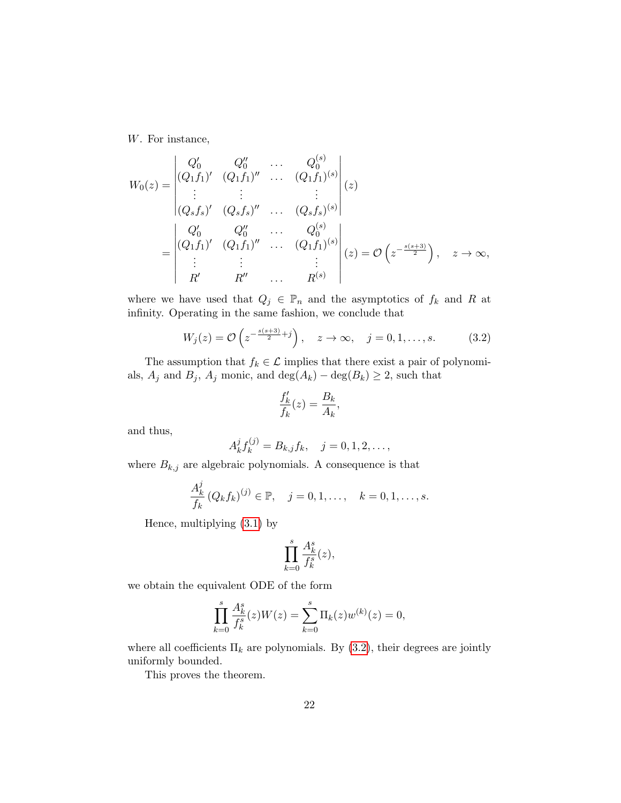W. For instance,

$$
W_0(z) = \begin{vmatrix} Q'_0 & Q''_0 & \cdots & Q_0^{(s)} \\ (Q_1f_1)' & (Q_1f_1)'' & \cdots & (Q_1f_1)^{(s)} \\ \vdots & \vdots & & \vdots \\ (Q_sf_s)' & (Q_sf_s)'' & \cdots & (Q_sf_s)^{(s)} \end{vmatrix} (z)
$$
  
= 
$$
\begin{vmatrix} Q'_0 & Q''_0 & \cdots & Q_0^{(s)} \\ (Q_1f_1)' & (Q_1f_1)'' & \cdots & (Q_1f_1)^{(s)} \\ \vdots & \vdots & & \vdots \\ R' & R'' & \cdots & R^{(s)} \end{vmatrix} (z) = \mathcal{O}\left(z^{-\frac{s(s+3)}{2}}\right), \quad z \to \infty,
$$

where we have used that  $Q_j \in \mathbb{P}_n$  and the asymptotics of  $f_k$  and R at infinity. Operating in the same fashion, we conclude that

<span id="page-21-0"></span>
$$
W_j(z) = \mathcal{O}\left(z^{-\frac{s(s+3)}{2}+j}\right), \quad z \to \infty, \quad j = 0, 1, \dots, s. \tag{3.2}
$$

The assumption that  $f_k \in \mathcal{L}$  implies that there exist a pair of polynomials,  $A_j$  and  $B_j$ ,  $A_j$  monic, and  $\deg(A_k) - \deg(B_k) \geq 2$ , such that

$$
\frac{f_k'}{f_k}(z) = \frac{B_k}{A_k},
$$

and thus,

$$
A_k^j f_k^{(j)} = B_{k,j} f_k, \quad j = 0, 1, 2, \dots,
$$

where  $\mathcal{B}_{k,j}$  are algebraic polynomials. A consequence is that

$$
\frac{A_k^j}{f_k} (Q_k f_k)^{(j)} \in \mathbb{P}, \quad j = 0, 1, \dots, \quad k = 0, 1, \dots, s.
$$

Hence, multiplying [\(3.1\)](#page-20-2) by

$$
\prod_{k=0}^s \frac{A_k^s}{f_k^s}(z),
$$

we obtain the equivalent ODE of the form

$$
\prod_{k=0}^{s} \frac{A_k^s}{f_k^s}(z)W(z) = \sum_{k=0}^{s} \Pi_k(z)w^{(k)}(z) = 0,
$$

where all coefficients  $\Pi_k$  are polynomials. By [\(3.2\)](#page-21-0), their degrees are jointly uniformly bounded.

This proves the theorem.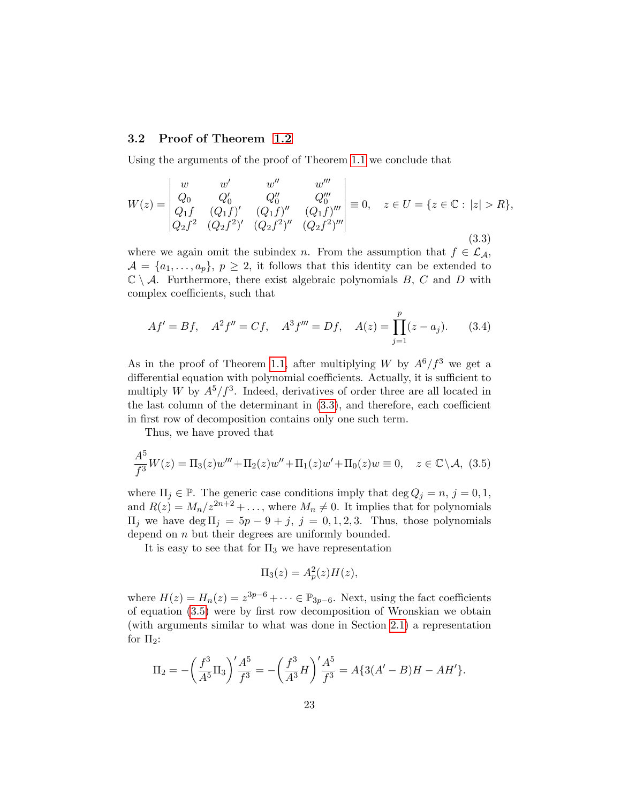### 3.2 Proof of Theorem [1.2](#page-5-1)

Using the arguments of the proof of Theorem [1.1](#page-3-1) we conclude that

<span id="page-22-0"></span>
$$
W(z) = \begin{vmatrix} w & w' & w'' & w''' \\ Q_0 & Q'_0 & Q''_0 & Q''_0 \\ Q_1 f & (Q_1 f)' & (Q_1 f)'' & (Q_1 f)''' \\ Q_2 f^2 & (Q_2 f^2)' & (Q_2 f^2)'' & (Q_2 f^2)''' \end{vmatrix} \equiv 0, \quad z \in U = \{z \in \mathbb{C} : |z| > R\},
$$
\n(3.3)

where we again omit the subindex n. From the assumption that  $f \in \mathcal{L}_{\mathcal{A}}$ ,  $\mathcal{A} = \{a_1, \ldots, a_p\}, p \geq 2$ , it follows that this identity can be extended to  $\mathbb{C} \setminus \mathcal{A}$ . Furthermore, there exist algebraic polynomials B, C and D with complex coefficients, such that

<span id="page-22-2"></span>
$$
Af' = Bf, \quad A^2 f'' = Cf, \quad A^3 f''' = Df, \quad A(z) = \prod_{j=1}^p (z - a_j). \tag{3.4}
$$

As in the proof of Theorem [1.1,](#page-3-1) after multiplying W by  $A^6/f^3$  we get a differential equation with polynomial coefficients. Actually, it is sufficient to multiply W by  $A^5/f^3$ . Indeed, derivatives of order three are all located in the last column of the determinant in [\(3.3\)](#page-22-0), and therefore, each coefficient in first row of decomposition contains only one such term.

Thus, we have proved that

<span id="page-22-1"></span>
$$
\frac{A^5}{f^3}W(z) = \Pi_3(z)w''' + \Pi_2(z)w'' + \Pi_1(z)w' + \Pi_0(z)w \equiv 0, \quad z \in \mathbb{C} \setminus \mathcal{A}, \tag{3.5}
$$

where  $\Pi_j \in \mathbb{P}$ . The generic case conditions imply that  $\deg Q_j = n, j = 0, 1$ , and  $R(z) = M_n/z^{2n+2} + \ldots$ , where  $M_n \neq 0$ . It implies that for polynomials  $\Pi_i$  we have deg  $\Pi_i = 5p - 9 + j$ ,  $j = 0, 1, 2, 3$ . Thus, those polynomials depend on  $n$  but their degrees are uniformly bounded.

It is easy to see that for  $\Pi_3$  we have representation

$$
\Pi_3(z) = A_p^2(z)H(z),
$$

where  $H(z) = H_n(z) = z^{3p-6} + \cdots \in \mathbb{P}_{3p-6}$ . Next, using the fact coefficients of equation [\(3.5\)](#page-22-1) were by first row decomposition of Wronskian we obtain (with arguments similar to what was done in Section [2.1\)](#page-12-3) a representation for  $\Pi_2$ :

$$
\Pi_2 = -\left(\frac{f^3}{A^5}\Pi_3\right)' \frac{A^5}{f^3} = -\left(\frac{f^3}{A^3}H\right)' \frac{A^5}{f^3} = A\{3(A'-B)H - AH'\}.
$$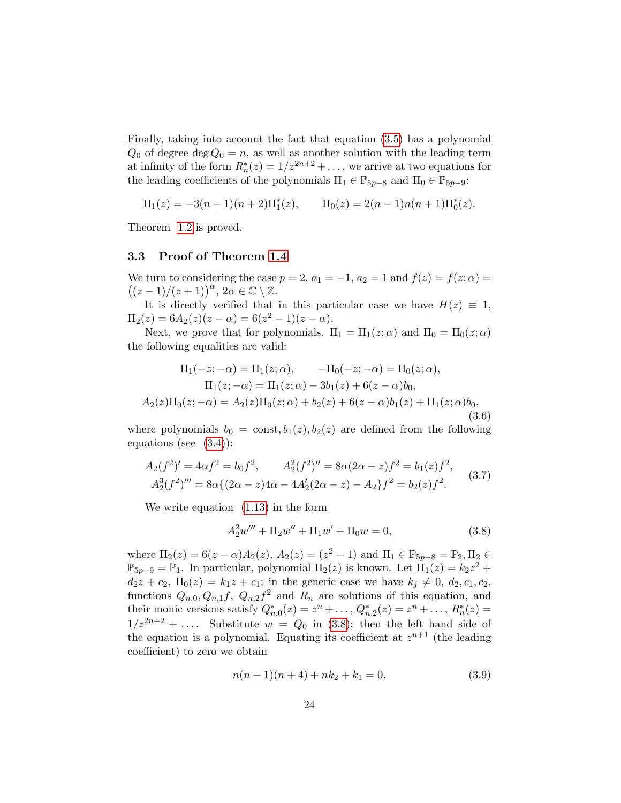Finally, taking into account the fact that equation [\(3.5\)](#page-22-1) has a polynomial  $Q_0$  of degree deg  $Q_0 = n$ , as well as another solution with the leading term at infinity of the form  $R_n^*(z) = 1/z^{2n+2} + \ldots$ , we arrive at two equations for the leading coefficients of the polynomials  $\Pi_1 \in \mathbb{P}_{5p-8}$  and  $\Pi_0 \in \mathbb{P}_{5p-9}$ :

$$
\Pi_1(z) = -3(n-1)(n+2)\Pi_1^*(z), \qquad \Pi_0(z) = 2(n-1)n(n+1)\Pi_0^*(z).
$$

Theorem [1.2](#page-5-1) is proved.

#### 3.3 Proof of Theorem [1.4](#page-6-3)

We turn to considering the case  $p = 2$ ,  $a_1 = -1$ ,  $a_2 = 1$  and  $f(z) = f(z; \alpha) =$  $((z-1)/(z+1))^{\alpha}, \ 2\alpha \in \mathbb{C} \setminus \mathbb{Z}.$ 

It is directly verified that in this particular case we have  $H(z) \equiv 1$ ,  $\Pi_2(z) = 6A_2(z)(z-\alpha) = 6(z^2-1)(z-\alpha).$ 

Next, we prove that for polynomials.  $\Pi_1 = \Pi_1(z; \alpha)$  and  $\Pi_0 = \Pi_0(z; \alpha)$ the following equalities are valid:

<span id="page-23-2"></span>
$$
\Pi_1(-z; -\alpha) = \Pi_1(z; \alpha), \qquad -\Pi_0(-z; -\alpha) = \Pi_0(z; \alpha),
$$
  
\n
$$
\Pi_1(z; -\alpha) = \Pi_1(z; \alpha) - 3b_1(z) + 6(z - \alpha)b_0,
$$
  
\n
$$
A_2(z)\Pi_0(z; -\alpha) = A_2(z)\Pi_0(z; \alpha) + b_2(z) + 6(z - \alpha)b_1(z) + \Pi_1(z; \alpha)b_0,
$$
  
\n(3.6)

where polynomials  $b_0 = \text{const}, b_1(z), b_2(z)$  are defined from the following equations (see  $(3.4)$ ):

<span id="page-23-3"></span>
$$
A_2(f^2)' = 4\alpha f^2 = b_0 f^2, \qquad A_2^2(f^2)'' = 8\alpha (2\alpha - z) f^2 = b_1(z) f^2, A_2^3(f^2)''' = 8\alpha \{ (2\alpha - z) 4\alpha - 4A_2'(2\alpha - z) - A_2 \} f^2 = b_2(z) f^2.
$$
 (3.7)

We write equation [\(1.13\)](#page-6-2) in the form

<span id="page-23-0"></span>
$$
A_2^2 w''' + \Pi_2 w'' + \Pi_1 w' + \Pi_0 w = 0,
$$
\n(3.8)

where  $\Pi_2(z) = 6(z - \alpha)A_2(z)$ ,  $A_2(z) = (z^2 - 1)$  and  $\Pi_1 \in \mathbb{P}_{5p-8} = \mathbb{P}_2, \Pi_2 \in$  $\mathbb{P}_{5p-9} = \mathbb{P}_1$ . In particular, polynomial  $\Pi_2(z)$  is known. Let  $\Pi_1(z) = k_2 z^2 +$  $d_2z + c_2, \Pi_0(z) = k_1z + c_1;$  in the generic case we have  $k_j \neq 0, d_2, c_1, c_2,$ functions  $Q_{n,0}, Q_{n,1}f, Q_{n,2}f^2$  and  $R_n$  are solutions of this equation, and their monic versions satisfy  $Q_{n,0}^*(z) = z^n + \ldots, Q_{n,2}^*(z) = z^n + \ldots, R_n^*(z) =$  $1/z^{2n+2} + \ldots$  Substitute  $w = Q_0$  in [\(3.8\)](#page-23-0); then the left hand side of the equation is a polynomial. Equating its coefficient at  $z^{n+1}$  (the leading coefficient) to zero we obtain

<span id="page-23-1"></span>
$$
n(n-1)(n+4) + nk_2 + k_1 = 0.
$$
\n(3.9)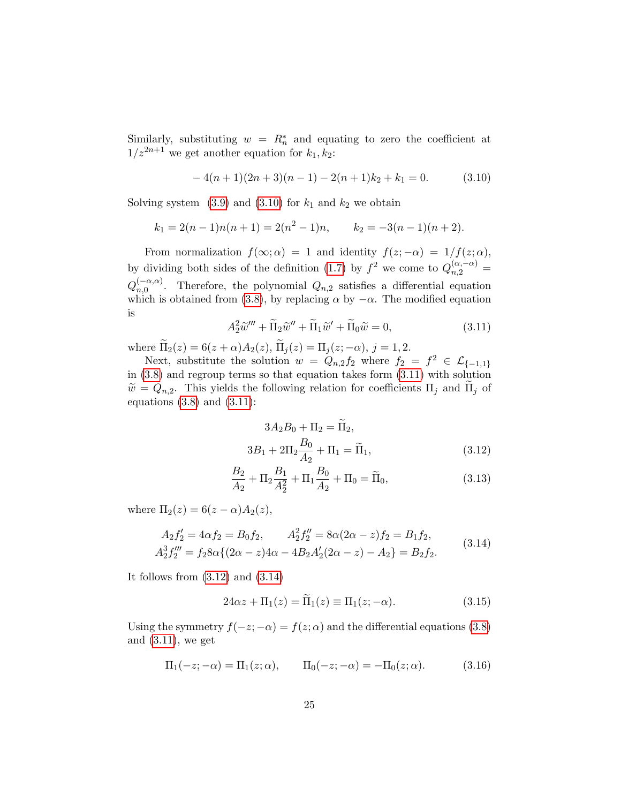Similarly, substituting  $w = R_n^*$  and equating to zero the coefficient at  $1/z^{2n+1}$  we get another equation for  $k_1, k_2$ :

<span id="page-24-0"></span>
$$
-4(n+1)(2n+3)(n-1) - 2(n+1)k_2 + k_1 = 0.
$$
 (3.10)

Solving system  $(3.9)$  and  $(3.10)$  for  $k_1$  and  $k_2$  we obtain

$$
k_1 = 2(n-1)n(n+1) = 2(n^2 - 1)n
$$
,  $k_2 = -3(n-1)(n+2)$ .

From normalization  $f(\infty; \alpha) = 1$  and identity  $f(z; -\alpha) = 1/f(z; \alpha)$ , by dividing both sides of the definition [\(1.7\)](#page-4-2) by  $f^2$  we come to  $Q_{n,2}^{(\alpha,-\alpha)}$  =  $Q_{n,0}^{(-\alpha,\alpha)}$  $n,0 \nightharpoonup n,0$ . Therefore, the polynomial  $Q_{n,2}$  satisfies a differential equation which is obtained from [\(3.8\)](#page-23-0), by replacing  $\alpha$  by  $-\alpha$ . The modified equation is

<span id="page-24-1"></span>
$$
A_2^2 \widetilde{w}''' + \widetilde{\Pi}_2 \widetilde{w}'' + \widetilde{\Pi}_1 \widetilde{w}' + \widetilde{\Pi}_0 \widetilde{w} = 0,
$$
\n(3.11)

where  $\Pi_2(z) = 6(z + \alpha)A_2(z)$ ,  $\Pi_j(z) = \Pi_j(z; -\alpha)$ ,  $j = 1, 2$ .

Next, substitute the solution  $w = Q_{n,2} f_2$  where  $f_2 = f^2 \in \mathcal{L}_{\{-1,1\}}$ in [\(3.8\)](#page-23-0) and regroup terms so that equation takes form [\(3.11\)](#page-24-1) with solution  $\widetilde{w} = Q_{n,2}$ . This yields the following relation for coefficients  $\Pi_j$  and  $\Pi_j$  of equations  $(3.8)$  and  $(3.11)$ :

<span id="page-24-6"></span><span id="page-24-2"></span>
$$
3A_2B_0 + \Pi_2 = \tilde{\Pi}_2,
$$
  
\n
$$
3B_1 + 2\Pi_2 \frac{B_0}{A_2} + \Pi_1 = \tilde{\Pi}_1,
$$
\n(3.12)

$$
\frac{B_2}{A_2} + \Pi_2 \frac{B_1}{A_2^2} + \Pi_1 \frac{B_0}{A_2} + \Pi_0 = \widetilde{\Pi}_0,
$$
\n(3.13)

where  $\Pi_2(z) = 6(z-\alpha)A_2(z)$ ,

<span id="page-24-3"></span>
$$
A_2 f_2' = 4\alpha f_2 = B_0 f_2, \qquad A_2^2 f_2'' = 8\alpha (2\alpha - z) f_2 = B_1 f_2,
$$
  
\n
$$
A_2^3 f_2''' = f_2 8\alpha \{ (2\alpha - z) 4\alpha - 4B_2 A_2' (2\alpha - z) - A_2 \} = B_2 f_2.
$$
\n(3.14)

It follows from  $(3.12)$  and  $(3.14)$ 

<span id="page-24-4"></span>
$$
24\alpha z + \Pi_1(z) = \Pi_1(z) \equiv \Pi_1(z; -\alpha).
$$
 (3.15)

Using the symmetry  $f(-z; -\alpha) = f(z; \alpha)$  and the differential equations [\(3.8\)](#page-23-0) and [\(3.11\)](#page-24-1), we get

<span id="page-24-5"></span>
$$
\Pi_1(-z; -\alpha) = \Pi_1(z; \alpha), \qquad \Pi_0(-z; -\alpha) = -\Pi_0(z; \alpha).
$$
 (3.16)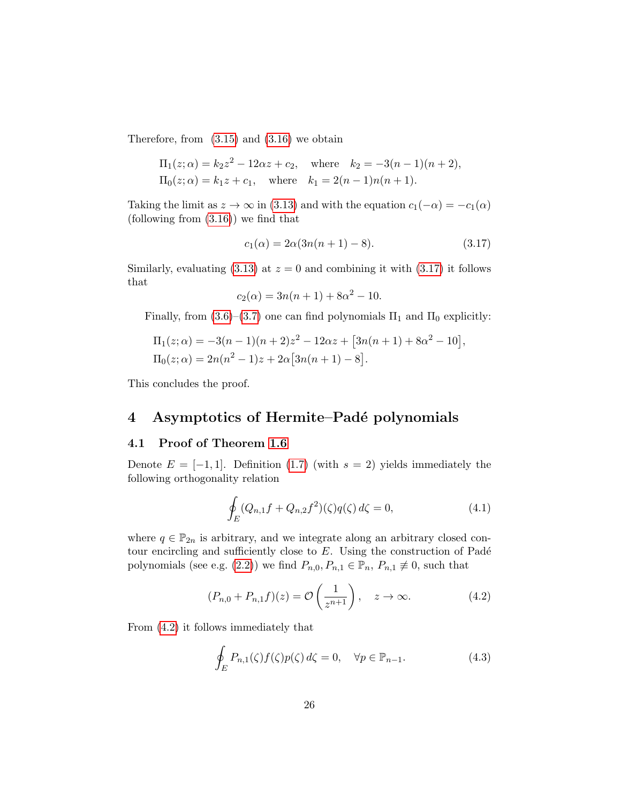Therefore, from  $(3.15)$  and  $(3.16)$  we obtain

$$
\Pi_1(z; \alpha) = k_2 z^2 - 12\alpha z + c_2
$$
, where  $k_2 = -3(n-1)(n+2)$ ,  
\n $\Pi_0(z; \alpha) = k_1 z + c_1$ , where  $k_1 = 2(n-1)n(n+1)$ .

Taking the limit as  $z \to \infty$  in [\(3.13\)](#page-24-6) and with the equation  $c_1(-\alpha) = -c_1(\alpha)$  $(following from (3.16))$  $(following from (3.16))$  $(following from (3.16))$  we find that

<span id="page-25-1"></span>
$$
c_1(\alpha) = 2\alpha(3n(n+1) - 8). \tag{3.17}
$$

Similarly, evaluating  $(3.13)$  at  $z = 0$  and combining it with  $(3.17)$  it follows that

$$
c_2(\alpha) = 3n(n+1) + 8\alpha^2 - 10.
$$

Finally, from [\(3.6\)](#page-23-2)–[\(3.7\)](#page-23-3) one can find polynomials  $\Pi_1$  and  $\Pi_0$  explicitly:

$$
\Pi_1(z;\alpha) = -3(n-1)(n+2)z^2 - 12\alpha z + [3n(n+1) + 8\alpha^2 - 10],
$$
  
\n
$$
\Pi_0(z;\alpha) = 2n(n^2 - 1)z + 2\alpha[3n(n+1) - 8].
$$

This concludes the proof.

### <span id="page-25-0"></span>4 Asymptotics of Hermite–Padé polynomials

### 4.1 Proof of Theorem [1.6](#page-7-2)

Denote  $E = [-1, 1]$ . Definition [\(1.7\)](#page-4-2) (with  $s = 2$ ) yields immediately the following orthogonality relation

<span id="page-25-3"></span>
$$
\oint_{E} (Q_{n,1}f + Q_{n,2}f^2)(\zeta)q(\zeta) d\zeta = 0,
$$
\n(4.1)

where  $q \in \mathbb{P}_{2n}$  is arbitrary, and we integrate along an arbitrary closed contour encircling and sufficiently close to  $E$ . Using the construction of Padé polynomials (see e.g. [\(2.2\)](#page-11-1)) we find  $P_{n,0}, P_{n,1} \in \mathbb{P}_n$ ,  $P_{n,1} \neq 0$ , such that

<span id="page-25-2"></span>
$$
(P_{n,0} + P_{n,1}f)(z) = \mathcal{O}\left(\frac{1}{z^{n+1}}\right), \quad z \to \infty.
$$
 (4.2)

From [\(4.2\)](#page-25-2) it follows immediately that

$$
\oint_{E} P_{n,1}(\zeta) f(\zeta) p(\zeta) d\zeta = 0, \quad \forall p \in \mathbb{P}_{n-1}.
$$
\n(4.3)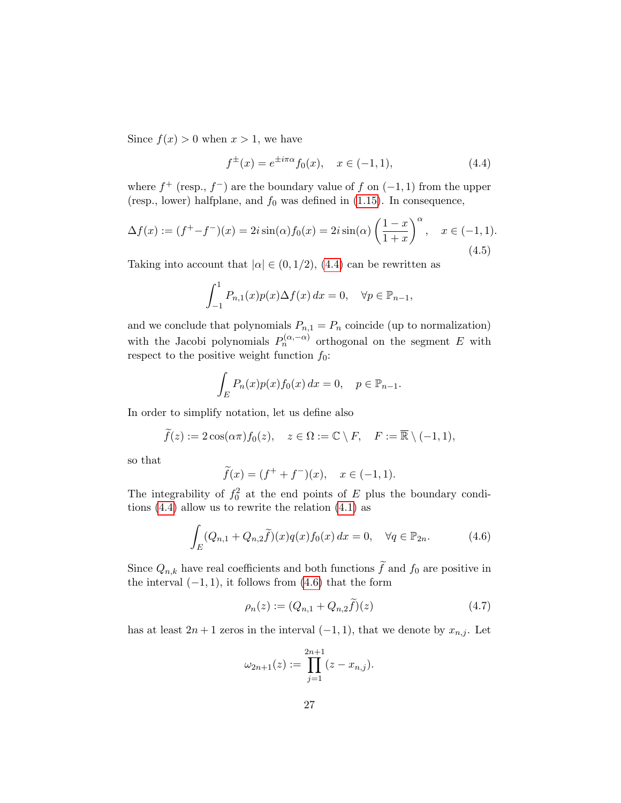Since  $f(x) > 0$  when  $x > 1$ , we have

<span id="page-26-0"></span>
$$
f^{\pm}(x) = e^{\pm i\pi\alpha} f_0(x), \quad x \in (-1, 1), \tag{4.4}
$$

where  $f^+$  (resp.,  $f^-$ ) are the boundary value of f on  $(-1, 1)$  from the upper (resp., lower) halfplane, and  $f_0$  was defined in [\(1.15\)](#page-7-3). In consequence,

<span id="page-26-3"></span>
$$
\Delta f(x) := (f^+ - f^-)(x) = 2i \sin(\alpha) f_0(x) = 2i \sin(\alpha) \left(\frac{1-x}{1+x}\right)^{\alpha}, \quad x \in (-1, 1).
$$
\n(4.5)

Taking into account that  $|\alpha| \in (0, 1/2)$ , [\(4.4\)](#page-26-0) can be rewritten as

$$
\int_{-1}^{1} P_{n,1}(x)p(x)\Delta f(x) dx = 0, \quad \forall p \in \mathbb{P}_{n-1},
$$

and we conclude that polynomials  $P_{n,1} = P_n$  coincide (up to normalization) with the Jacobi polynomials  $P_n^{(\alpha,-\alpha)}$  orthogonal on the segment E with respect to the positive weight function  $f_0$ :

$$
\int_E P_n(x)p(x)f_0(x) dx = 0, \quad p \in \mathbb{P}_{n-1}.
$$

In order to simplify notation, let us define also

$$
\widetilde{f}(z) := 2\cos(\alpha\pi)f_0(z), \quad z \in \Omega := \mathbb{C} \setminus F, \quad F := \overline{\mathbb{R}} \setminus (-1,1),
$$

so that

$$
\tilde{f}(x) = (f^+ + f^-)(x), \quad x \in (-1, 1).
$$

The integrability of  $f_0^2$  at the end points of E plus the boundary conditions [\(4.4\)](#page-26-0) allow us to rewrite the relation [\(4.1\)](#page-25-3) as

<span id="page-26-1"></span>
$$
\int_{E} (Q_{n,1} + Q_{n,2} \tilde{f})(x) q(x) f_0(x) dx = 0, \quad \forall q \in \mathbb{P}_{2n}.
$$
 (4.6)

Since  $Q_{n,k}$  have real coefficients and both functions  $\widetilde{f}$  and  $f_0$  are positive in the interval  $(-1, 1)$ , it follows from  $(4.6)$  that the form

<span id="page-26-2"></span>
$$
\rho_n(z) := (Q_{n,1} + Q_{n,2}\tilde{f})(z)
$$
\n(4.7)

has at least  $2n + 1$  zeros in the interval  $(-1, 1)$ , that we denote by  $x_{n,j}$ . Let

$$
\omega_{2n+1}(z) := \prod_{j=1}^{2n+1} (z - x_{n,j}).
$$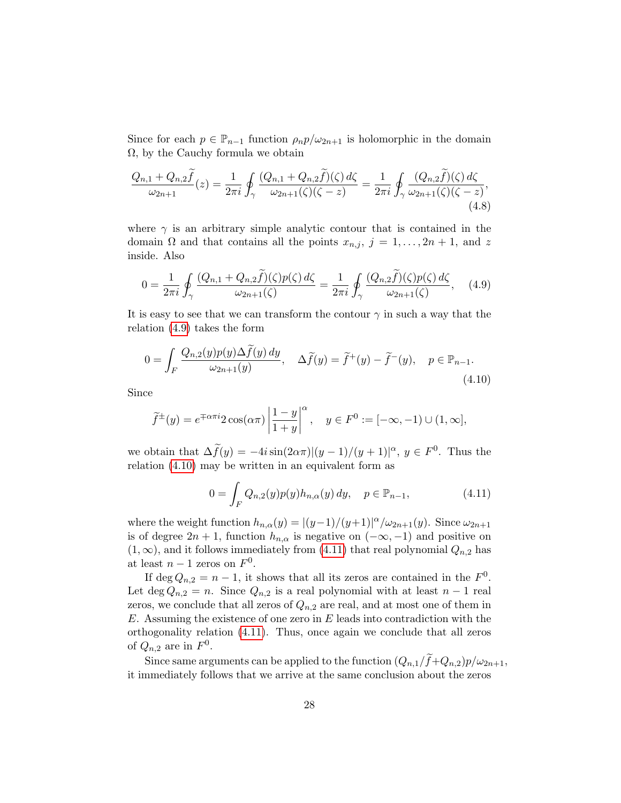Since for each  $p \in \mathbb{P}_{n-1}$  function  $\rho_n p/\omega_{2n+1}$  is holomorphic in the domain  $\Omega$ , by the Cauchy formula we obtain

$$
\frac{Q_{n,1} + Q_{n,2}f}{\omega_{2n+1}}(z) = \frac{1}{2\pi i} \oint_{\gamma} \frac{(Q_{n,1} + Q_{n,2}f)(\zeta) d\zeta}{\omega_{2n+1}(\zeta)(\zeta - z)} = \frac{1}{2\pi i} \oint_{\gamma} \frac{(Q_{n,2}f)(\zeta) d\zeta}{\omega_{2n+1}(\zeta)(\zeta - z)},\tag{4.8}
$$

where  $\gamma$  is an arbitrary simple analytic contour that is contained in the domain  $\Omega$  and that contains all the points  $x_{n,j}$ ,  $j = 1, \ldots, 2n + 1$ , and z inside. Also

<span id="page-27-3"></span><span id="page-27-0"></span>
$$
0 = \frac{1}{2\pi i} \oint_{\gamma} \frac{(Q_{n,1} + Q_{n,2}\tilde{f})(\zeta)p(\zeta) d\zeta}{\omega_{2n+1}(\zeta)} = \frac{1}{2\pi i} \oint_{\gamma} \frac{(Q_{n,2}\tilde{f})(\zeta)p(\zeta) d\zeta}{\omega_{2n+1}(\zeta)}, \quad (4.9)
$$

It is easy to see that we can transform the contour  $\gamma$  in such a way that the relation [\(4.9\)](#page-27-0) takes the form

<span id="page-27-1"></span>
$$
0 = \int_{F} \frac{Q_{n,2}(y)p(y)\Delta f(y) dy}{\omega_{2n+1}(y)}, \quad \Delta \tilde{f}(y) = \tilde{f}^+(y) - \tilde{f}^-(y), \quad p \in \mathbb{P}_{n-1}.
$$
\n(4.10)

Since

$$
\widetilde{f}^{\pm}(y) = e^{\mp \alpha \pi i} 2 \cos(\alpha \pi) \left| \frac{1 - y}{1 + y} \right|^{\alpha}, \quad y \in F^{0} := [-\infty, -1) \cup (1, \infty],
$$

we obtain that  $\Delta \tilde{f}(y) = -4i \sin(2\alpha \pi) |(y-1)/(y+1)|^{\alpha}, y \in F^0$ . Thus the relation [\(4.10\)](#page-27-1) may be written in an equivalent form as

<span id="page-27-2"></span>
$$
0 = \int_{F} Q_{n,2}(y) p(y) h_{n,\alpha}(y) dy, \quad p \in \mathbb{P}_{n-1},
$$
\n(4.11)

where the weight function  $h_{n,\alpha}(y) = |(y-1)/(y+1)|^{\alpha}/\omega_{2n+1}(y)$ . Since  $\omega_{2n+1}$ is of degree  $2n + 1$ , function  $h_{n,\alpha}$  is negative on  $(-\infty, -1)$  and positive on  $(1, \infty)$ , and it follows immediately from  $(4.11)$  that real polynomial  $Q_{n,2}$  has at least  $n-1$  zeros on  $F^0$ .

If deg  $Q_{n,2} = n - 1$ , it shows that all its zeros are contained in the  $F^0$ . Let deg  $Q_{n,2} = n$ . Since  $Q_{n,2}$  is a real polynomial with at least  $n-1$  real zeros, we conclude that all zeros of  $Q_{n,2}$  are real, and at most one of them in  $E$ . Assuming the existence of one zero in  $E$  leads into contradiction with the orthogonality relation [\(4.11\)](#page-27-2). Thus, once again we conclude that all zeros of  $Q_{n,2}$  are in  $F^0$ .

Since same arguments can be applied to the function  $(Q_{n,1}/f+Q_{n,2})p/\omega_{2n+1}$ , it immediately follows that we arrive at the same conclusion about the zeros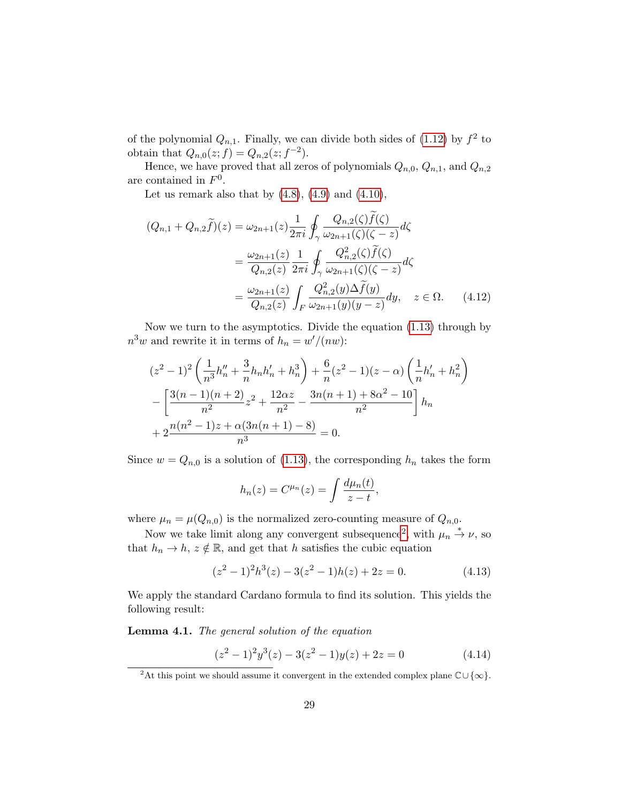of the polynomial  $Q_{n,1}$ . Finally, we can divide both sides of [\(1.12\)](#page-6-4) by  $f^2$  to obtain that  $Q_{n,0}(z; f) = Q_{n,2}(z; f^{-2}).$ 

Hence, we have proved that all zeros of polynomials  $Q_{n,0}, Q_{n,1}$ , and  $Q_{n,2}$ are contained in  $F^0$ .

Let us remark also that by  $(4.8)$ ,  $(4.9)$  and  $(4.10)$ ,

$$
(Q_{n,1} + Q_{n,2}\tilde{f})(z) = \omega_{2n+1}(z) \frac{1}{2\pi i} \oint_{\gamma} \frac{Q_{n,2}(\zeta)f(\zeta)}{\omega_{2n+1}(\zeta)(\zeta - z)} d\zeta
$$
  

$$
= \frac{\omega_{2n+1}(z)}{Q_{n,2}(z)} \frac{1}{2\pi i} \oint_{\gamma} \frac{Q_{n,2}^2(\zeta)\tilde{f}(\zeta)}{\omega_{2n+1}(\zeta)(\zeta - z)} d\zeta
$$
  

$$
= \frac{\omega_{2n+1}(z)}{Q_{n,2}(z)} \int_{F} \frac{Q_{n,2}^2(y)\Delta\tilde{f}(y)}{\omega_{2n+1}(y)(y - z)} dy, \quad z \in \Omega. \quad (4.12)
$$

Now we turn to the asymptotics. Divide the equation [\(1.13\)](#page-6-2) through by  $n^3w$  and rewrite it in terms of  $h_n = w'/(nw)$ :

$$
(z^{2} - 1)^{2} \left( \frac{1}{n^{3}} h_{n}'' + \frac{3}{n} h_{n} h_{n}' + h_{n}^{3} \right) + \frac{6}{n} (z^{2} - 1)(z - \alpha) \left( \frac{1}{n} h_{n}' + h_{n}^{2} \right)
$$

$$
- \left[ \frac{3(n-1)(n+2)}{n^{2}} z^{2} + \frac{12\alpha z}{n^{2}} - \frac{3n(n+1) + 8\alpha^{2} - 10}{n^{2}} \right] h_{n}
$$

$$
+ 2 \frac{n(n^{2} - 1)z + \alpha(3n(n+1) - 8)}{n^{3}} = 0.
$$

Since  $w = Q_{n,0}$  is a solution of [\(1.13\)](#page-6-2), the corresponding  $h_n$  takes the form

<span id="page-28-2"></span>
$$
h_n(z) = C^{\mu_n}(z) = \int \frac{d\mu_n(t)}{z - t},
$$

where  $\mu_n = \mu(Q_{n,0})$  is the normalized zero-counting measure of  $Q_{n,0}$ .

Now we take limit along any convergent subsequence<sup>[2](#page-28-0)</sup>, with  $\mu_n \stackrel{*}{\rightarrow} \nu$ , so that  $h_n \to h$ ,  $z \notin \mathbb{R}$ , and get that h satisfies the cubic equation

$$
(z2 - 1)2h3(z) - 3(z2 - 1)h(z) + 2z = 0.
$$
 (4.13)

We apply the standard Cardano formula to find its solution. This yields the following result:

Lemma 4.1. The general solution of the equation

<span id="page-28-1"></span>
$$
(z2 - 1)2y3(z) - 3(z2 - 1)y(z) + 2z = 0
$$
 (4.14)

<span id="page-28-0"></span><sup>&</sup>lt;sup>2</sup>At this point we should assume it convergent in the extended complex plane  $\mathbb{C}\cup\{\infty\}$ .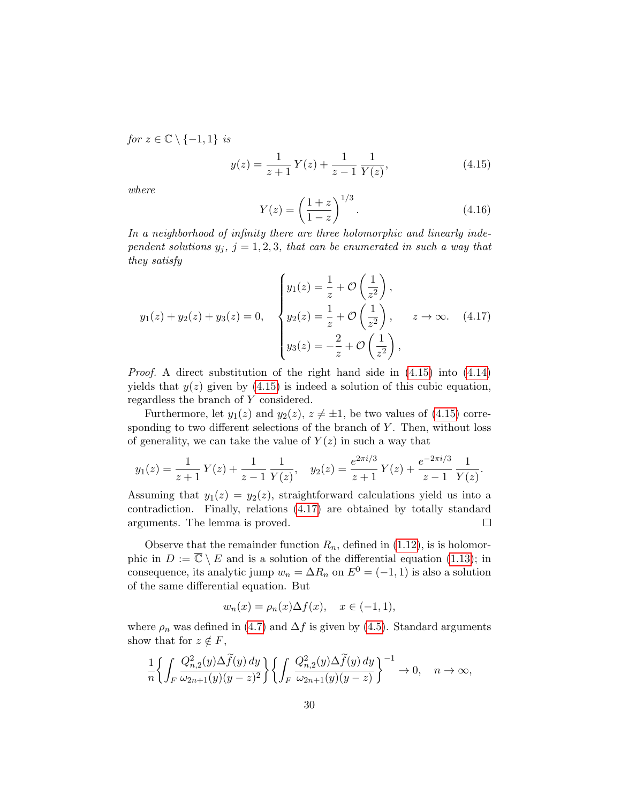for  $z \in \mathbb{C} \setminus \{-1, 1\}$  is

<span id="page-29-0"></span>
$$
y(z) = \frac{1}{z+1}Y(z) + \frac{1}{z-1}\frac{1}{Y(z)},
$$
\n(4.15)

where

<span id="page-29-2"></span>
$$
Y(z) = \left(\frac{1+z}{1-z}\right)^{1/3}.\tag{4.16}
$$

In a neighborhood of infinity there are three holomorphic and linearly independent solutions  $y_i$ ,  $j = 1, 2, 3$ , that can be enumerated in such a way that they satisfy

<span id="page-29-1"></span>
$$
y_1(z) + y_2(z) + y_3(z) = 0, \quad\n\begin{cases} y_1(z) = \frac{1}{z} + \mathcal{O}\left(\frac{1}{z^2}\right), \\ y_2(z) = \frac{1}{z} + \mathcal{O}\left(\frac{1}{z^2}\right), \\ y_3(z) = -\frac{2}{z} + \mathcal{O}\left(\frac{1}{z^2}\right), \end{cases} \quad z \to \infty. \quad (4.17)
$$

Proof. A direct substitution of the right hand side in [\(4.15\)](#page-29-0) into [\(4.14\)](#page-28-1) yields that  $y(z)$  given by [\(4.15\)](#page-29-0) is indeed a solution of this cubic equation, regardless the branch of Y considered.

Furthermore, let  $y_1(z)$  and  $y_2(z)$ ,  $z \neq \pm 1$ , be two values of [\(4.15\)](#page-29-0) corresponding to two different selections of the branch of  $Y$ . Then, without loss of generality, we can take the value of  $Y(z)$  in such a way that

$$
y_1(z) = \frac{1}{z+1}Y(z) + \frac{1}{z-1}\frac{1}{Y(z)}, \quad y_2(z) = \frac{e^{2\pi i/3}}{z+1}Y(z) + \frac{e^{-2\pi i/3}}{z-1}\frac{1}{Y(z)}.
$$

Assuming that  $y_1(z) = y_2(z)$ , straightforward calculations yield us into a contradiction. Finally, relations [\(4.17\)](#page-29-1) are obtained by totally standard arguments. The lemma is proved.  $\Box$ 

Observe that the remainder function  $R_n$ , defined in [\(1.12\)](#page-6-4), is is holomorphic in  $D := \overline{\mathbb{C}} \setminus E$  and is a solution of the differential equation [\(1.13\)](#page-6-2); in consequence, its analytic jump  $w_n = \Delta R_n$  on  $E^0 = (-1, 1)$  is also a solution of the same differential equation. But

$$
w_n(x) = \rho_n(x)\Delta f(x), \quad x \in (-1, 1),
$$

where  $\rho_n$  was defined in [\(4.7\)](#page-26-2) and  $\Delta f$  is given by [\(4.5\)](#page-26-3). Standard arguments show that for  $z \notin F$ ,

$$
\frac{1}{n}\bigg\{\int_{F}\frac{Q_{n,2}^{2}(y)\Delta\widetilde{f}(y) \,dy}{\omega_{2n+1}(y)(y-z)^{2}}\bigg\}\bigg\{\int_{F}\frac{Q_{n,2}^{2}(y)\Delta\widetilde{f}(y) \,dy}{\omega_{2n+1}(y)(y-z)}\bigg\}^{-1}\to 0, \quad n \to \infty,
$$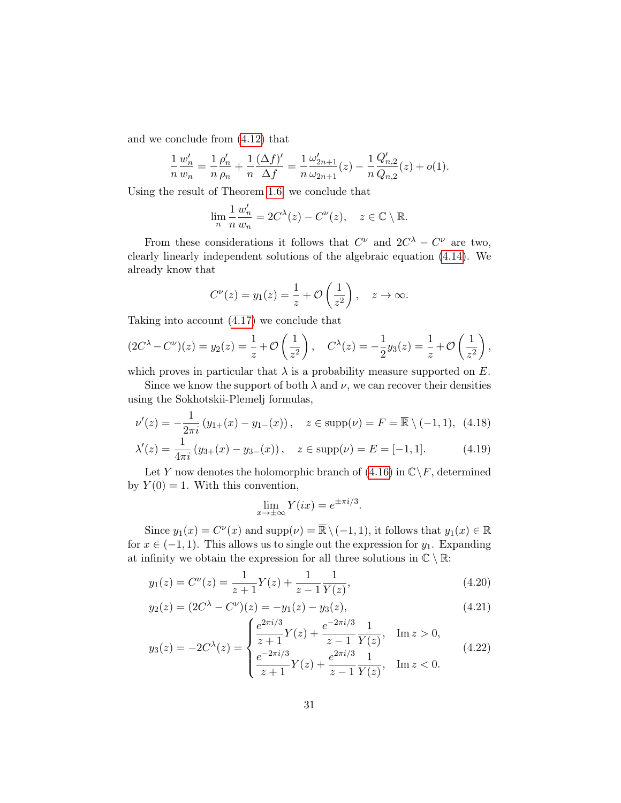and we conclude from [\(4.12\)](#page-28-2) that

$$
\frac{1}{n}\frac{w'_n}{w_n} = \frac{1}{n}\frac{\rho'_n}{\rho_n} + \frac{1}{n}\frac{(\Delta f)'}{\Delta f} = \frac{1}{n}\frac{\omega'_{2n+1}}{\omega_{2n+1}}(z) - \frac{1}{n}\frac{Q'_{n,2}}{Q_{n,2}}(z) + o(1).
$$

Using the result of Theorem [1.6,](#page-7-2) we conclude that

$$
\lim_{n} \frac{1}{n} \frac{w'_n}{w_n} = 2C^{\lambda}(z) - C^{\nu}(z), \quad z \in \mathbb{C} \setminus \mathbb{R}.
$$

From these considerations it follows that  $C^{\nu}$  and  $2C^{\lambda} - C^{\nu}$  are two, clearly linearly independent solutions of the algebraic equation [\(4.14\)](#page-28-1). We already know that

$$
C^{\nu}(z) = y_1(z) = \frac{1}{z} + \mathcal{O}\left(\frac{1}{z^2}\right), \quad z \to \infty.
$$

Taking into account [\(4.17\)](#page-29-1) we conclude that

$$
(2C^{\lambda} - C^{\nu})(z) = y_2(z) = \frac{1}{z} + \mathcal{O}\left(\frac{1}{z^2}\right), \quad C^{\lambda}(z) = -\frac{1}{2}y_3(z) = \frac{1}{z} + \mathcal{O}\left(\frac{1}{z^2}\right),
$$

which proves in particular that  $\lambda$  is a probability measure supported on E.

Since we know the support of both  $\lambda$  and  $\nu$ , we can recover their densities using the Sokhotskii-Plemelj formulas,

$$
\nu'(z) = -\frac{1}{2\pi i} \left( y_{1+}(x) - y_{1-}(x) \right), \quad z \in \text{supp}(\nu) = F = \overline{\mathbb{R}} \setminus (-1, 1), \tag{4.18}
$$

$$
\lambda'(z) = \frac{1}{4\pi i} \left( y_{3+}(x) - y_{3-}(x) \right), \quad z \in \text{supp}(\nu) = E = [-1, 1]. \tag{4.19}
$$

Let Y now denotes the holomorphic branch of  $(4.16)$  in  $\mathbb{C}\backslash F$ , determined by  $Y(0) = 1$ . With this convention,

<span id="page-30-3"></span><span id="page-30-2"></span><span id="page-30-1"></span><span id="page-30-0"></span>
$$
\lim_{x \to \pm \infty} Y(ix) = e^{\pm \pi i/3}.
$$

Since  $y_1(x) = C^{\nu}(x)$  and  $\text{supp}(\nu) = \overline{\mathbb{R}} \setminus (-1, 1)$ , it follows that  $y_1(x) \in \mathbb{R}$ for  $x \in (-1, 1)$ . This allows us to single out the expression for  $y_1$ . Expanding at infinity we obtain the expression for all three solutions in  $\mathbb{C}\setminus\mathbb{R}.$ 

$$
y_1(z) = C^{\nu}(z) = \frac{1}{z+1}Y(z) + \frac{1}{z-1}\frac{1}{Y(z)},
$$
\n(4.20)

$$
y_2(z) = (2C^{\lambda} - C^{\nu})(z) = -y_1(z) - y_3(z), \tag{4.21}
$$

$$
y_3(z) = -2C^{\lambda}(z) = \begin{cases} \frac{e^{2\pi i/3}}{z+1}Y(z) + \frac{e^{-2\pi i/3}}{z-1} \frac{1}{Y(z)}, & \text{Im } z > 0, \\ \frac{e^{-2\pi i/3}}{z+1}Y(z) + \frac{e^{2\pi i/3}}{z-1} \frac{1}{Y(z)}, & \text{Im } z < 0. \end{cases}
$$
(4.22)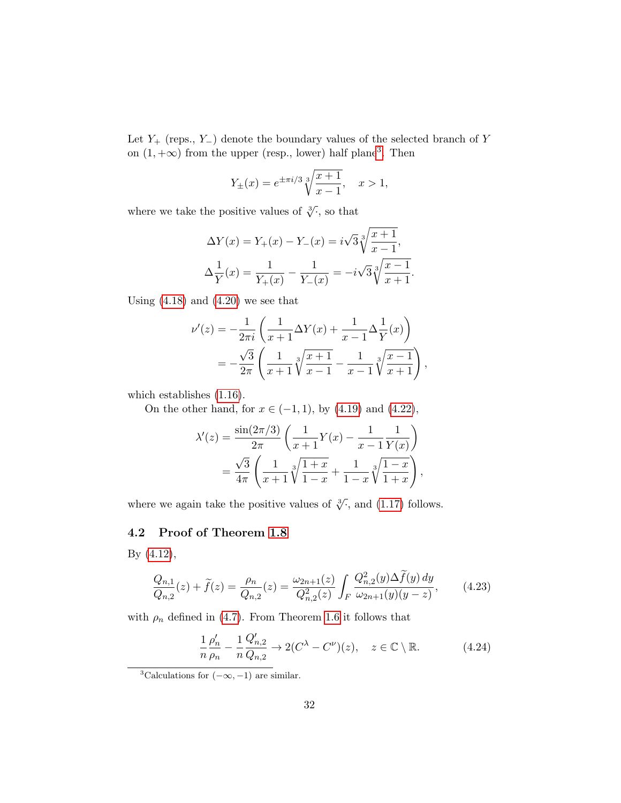Let  $Y_{+}$  (reps., Y<sub>−</sub>) denote the boundary values of the selected branch of Y on  $(1, +\infty)$  from the upper (resp., lower) half plane<sup>[3](#page-31-1)</sup>. Then

$$
Y_{\pm}(x) = e^{\pm \pi i/3} \sqrt[3]{\frac{x+1}{x-1}}, \quad x > 1,
$$

where we take the positive values of  $\sqrt[3]{\cdot}$ , so that

$$
\Delta Y(x) = Y_+(x) - Y_-(x) = i\sqrt{3}\sqrt[3]{\frac{x+1}{x-1}},
$$
  

$$
\Delta \frac{1}{Y}(x) = \frac{1}{Y_+(x)} - \frac{1}{Y_-(x)} = -i\sqrt{3}\sqrt[3]{\frac{x-1}{x+1}}.
$$

Using  $(4.18)$  and  $(4.20)$  we see that

$$
\nu'(z) = -\frac{1}{2\pi i} \left( \frac{1}{x+1} \Delta Y(x) + \frac{1}{x-1} \Delta \frac{1}{Y}(x) \right)
$$
  
= 
$$
-\frac{\sqrt{3}}{2\pi} \left( \frac{1}{x+1} \sqrt[3]{\frac{x+1}{x-1}} - \frac{1}{x-1} \sqrt[3]{\frac{x-1}{x+1}} \right),
$$

which establishes [\(1.16\)](#page-7-0).

On the other hand, for  $x \in (-1, 1)$ , by  $(4.19)$  and  $(4.22)$ ,

$$
\lambda'(z) = \frac{\sin(2\pi/3)}{2\pi} \left( \frac{1}{x+1} Y(x) - \frac{1}{x-1} \frac{1}{Y(x)} \right)
$$
  
= 
$$
\frac{\sqrt{3}}{4\pi} \left( \frac{1}{x+1} \sqrt[3]{\frac{1+x}{1-x}} + \frac{1}{1-x} \sqrt[3]{\frac{1-x}{1+x}} \right),
$$

where we again take the positive values of  $\sqrt[3]{\cdot}$ , and [\(1.17\)](#page-7-1) follows.

### <span id="page-31-0"></span>4.2 Proof of Theorem [1.8](#page-9-0)

By [\(4.12\)](#page-28-2),

<span id="page-31-3"></span>
$$
\frac{Q_{n,1}}{Q_{n,2}}(z) + \tilde{f}(z) = \frac{\rho_n}{Q_{n,2}}(z) = \frac{\omega_{2n+1}(z)}{Q_{n,2}^2(z)} \int_F \frac{Q_{n,2}^2(y)\Delta\tilde{f}(y) dy}{\omega_{2n+1}(y)(y-z)},
$$
(4.23)

with  $\rho_n$  defined in [\(4.7\)](#page-26-2). From Theorem [1.6](#page-7-2) it follows that

<span id="page-31-2"></span>
$$
\frac{1}{n}\frac{\rho_n'}{\rho_n} - \frac{1}{n}\frac{Q_{n,2}'}{Q_{n,2}} \to 2(C^{\lambda} - C^{\nu})(z), \quad z \in \mathbb{C} \setminus \mathbb{R}.
$$
 (4.24)

<span id="page-31-1"></span><sup>&</sup>lt;sup>3</sup>Calculations for  $(-\infty, -1)$  are similar.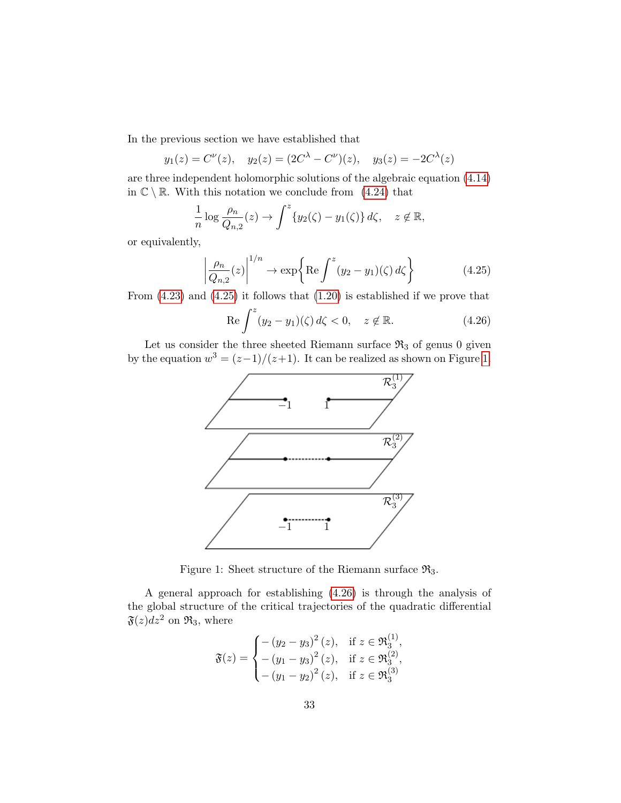In the previous section we have established that

$$
y_1(z) = C^{\nu}(z), \quad y_2(z) = (2C^{\lambda} - C^{\nu})(z), \quad y_3(z) = -2C^{\lambda}(z)
$$

are three independent holomorphic solutions of the algebraic equation [\(4.14\)](#page-28-1) in  $\mathbb{C} \setminus \mathbb{R}$ . With this notation we conclude from [\(4.24\)](#page-31-2) that

$$
\frac{1}{n}\log\frac{\rho_n}{Q_{n,2}}(z)\to \int^z \{y_2(\zeta)-y_1(\zeta)\}\,d\zeta, \quad z\not\in\mathbb{R},
$$

or equivalently,

<span id="page-32-0"></span>
$$
\left| \frac{\rho_n}{Q_{n,2}}(z) \right|^{1/n} \to \exp\left\{ \text{Re} \int^z (y_2 - y_1)(\zeta) d\zeta \right\} \tag{4.25}
$$

From [\(4.23\)](#page-31-3) and [\(4.25\)](#page-32-0) it follows that [\(1.20\)](#page-9-1) is established if we prove that

<span id="page-32-2"></span>
$$
\operatorname{Re} \int^{z} (y_2 - y_1)(\zeta) d\zeta < 0, \quad z \notin \mathbb{R}.\tag{4.26}
$$

Let us consider the three sheeted Riemann surface  $\Re_3$  of genus 0 given by the equation  $w^3 = (z-1)/(z+1)$ . It can be realized as shown on Figure [1.](#page-32-1)



<span id="page-32-1"></span>Figure 1: Sheet structure of the Riemann surface  $\mathfrak{R}_3$ .

A general approach for establishing [\(4.26\)](#page-32-2) is through the analysis of the global structure of the critical trajectories of the quadratic differential  $\mathfrak{F}(z)dz^2$  on  $\mathfrak{R}_3$ , where

$$
\mathfrak{F}(z) = \begin{cases}\n-(y_2 - y_3)^2 (z), & \text{if } z \in \mathfrak{R}_3^{(1)}, \\
-(y_1 - y_3)^2 (z), & \text{if } z \in \mathfrak{R}_3^{(2)}, \\
-(y_1 - y_2)^2 (z), & \text{if } z \in \mathfrak{R}_3^{(3)}\n\end{cases}
$$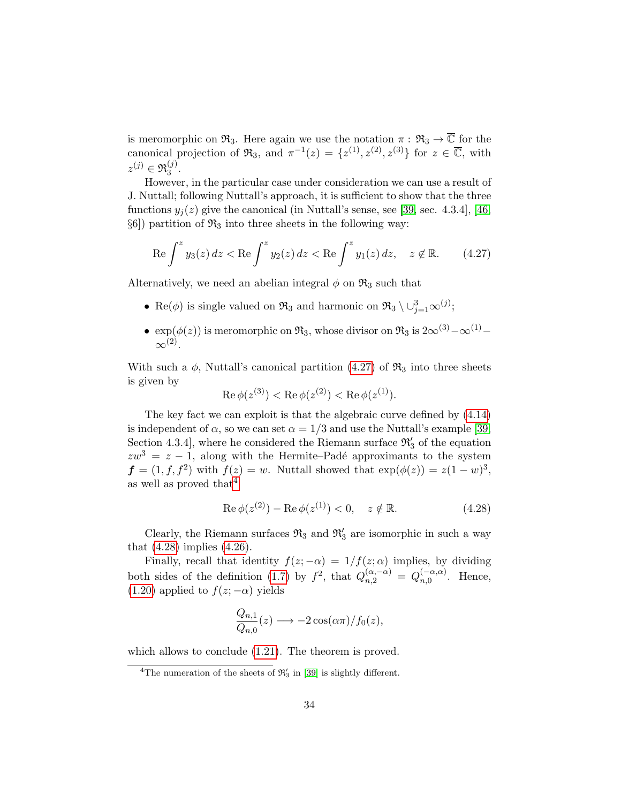is meromorphic on  $\mathfrak{R}_3$ . Here again we use the notation  $\pi : \mathfrak{R}_3 \to \overline{\mathbb{C}}$  for the canonical projection of  $\mathfrak{R}_3$ , and  $\pi^{-1}(z) = \{z^{(1)}, z^{(2)}, z^{(3)}\}$  for  $z \in \overline{\mathbb{C}}$ , with  $z^{(j)} \in \mathfrak{R}_3^{(j)}$  $\frac{(J)}{3}$ .

However, in the particular case under consideration we can use a result of J. Nuttall; following Nuttall's approach, it is sufficient to show that the three functions  $y_j(z)$  give the canonical (in Nuttall's sense, see [\[39,](#page-37-0) sec. 4.3.4], [\[46,](#page-38-8)  $\S6$ ) partition of  $\mathfrak{R}_3$  into three sheets in the following way:

<span id="page-33-0"></span>
$$
\operatorname{Re}\int^z y_3(z)\,dz < \operatorname{Re}\int^z y_2(z)\,dz < \operatorname{Re}\int^z y_1(z)\,dz, \quad z \notin \mathbb{R}.\tag{4.27}
$$

Alternatively, we need an abelian integral  $\phi$  on  $\mathfrak{R}_3$  such that

- Re( $\phi$ ) is single valued on  $\mathfrak{R}_3$  and harmonic on  $\mathfrak{R}_3 \setminus \cup_{j=1}^3 \infty^{(j)}$ ;
- $\exp(\phi(z))$  is meromorphic on  $\mathfrak{R}_3$ , whose divisor on  $\mathfrak{R}_3$  is  $2\infty^{(3)}-\infty^{(1)} \infty^{(2)}$ .

With such a  $\phi$ , Nuttall's canonical partition [\(4.27\)](#page-33-0) of  $\mathfrak{R}_3$  into three sheets is given by

$$
\operatorname{Re}\phi(z^{(3)}) < \operatorname{Re}\phi(z^{(2)}) < \operatorname{Re}\phi(z^{(1)})
$$
.

The key fact we can exploit is that the algebraic curve defined by [\(4.14\)](#page-28-1) is independent of  $\alpha$ , so we can set  $\alpha = 1/3$  and use the Nuttall's example [\[39,](#page-37-0) Section 4.3.4, where he considered the Riemann surface  $\mathfrak{R}'_3$  of the equation  $zw^3 = z - 1$ , along with the Hermite–Padé approximants to the system  $f = (1, f, f^2)$  with  $f(z) = w$ . Nuttall showed that  $\exp(\phi(z)) = z(1 - w)^3$ , as well as proved that  $4$ 

<span id="page-33-2"></span>
$$
\operatorname{Re}\phi(z^{(2)}) - \operatorname{Re}\phi(z^{(1)}) < 0, \quad z \notin \mathbb{R}.\tag{4.28}
$$

Clearly, the Riemann surfaces  $\mathfrak{R}_3$  and  $\mathfrak{R}_3'$  are isomorphic in such a way that  $(4.28)$  implies  $(4.26)$ .

Finally, recall that identity  $f(z; -\alpha) = 1/f(z; \alpha)$  implies, by dividing both sides of the definition [\(1.7\)](#page-4-2) by  $f^2$ , that  $Q_{n,2}^{(\alpha,-\alpha)} = Q_{n,0}^{(-\alpha,\alpha)}$  $\sum_{n,0}^{(-\alpha,\alpha)}$ . Hence, [\(1.20\)](#page-9-1) applied to  $f(z; -\alpha)$  yields

$$
\frac{Q_{n,1}}{Q_{n,0}}(z) \longrightarrow -2\cos(\alpha \pi)/f_0(z),
$$

which allows to conclude [\(1.21\)](#page-9-2). The theorem is proved.

<span id="page-33-1"></span><sup>&</sup>lt;sup>4</sup>The numeration of the sheets of  $\mathfrak{R}'_3$  in [\[39\]](#page-37-0) is slightly different.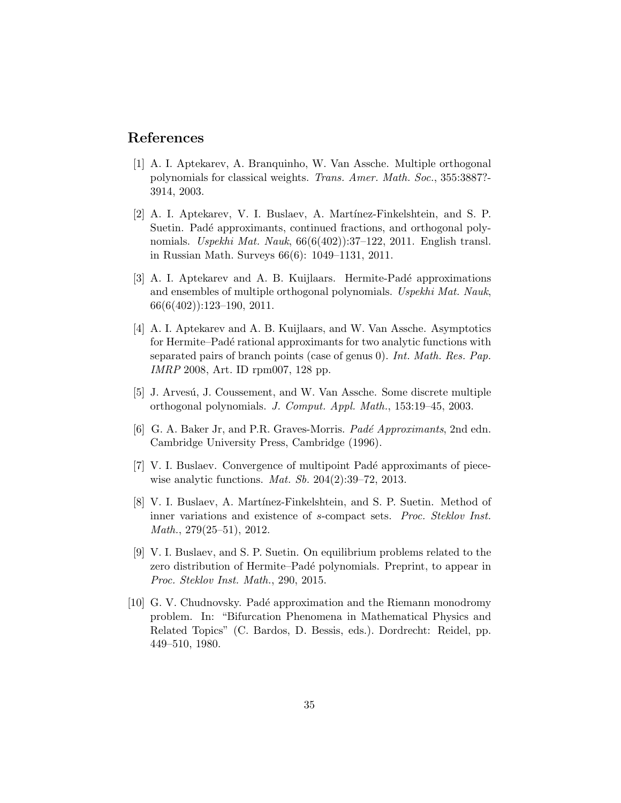### References

- <span id="page-34-2"></span>[1] A. I. Aptekarev, A. Branquinho, W. Van Assche. Multiple orthogonal polynomials for classical weights. Trans. Amer. Math. Soc., 355:3887?- 3914, 2003.
- <span id="page-34-0"></span>[2] A. I. Aptekarev, V. I. Buslaev, A. Martínez-Finkelshtein, and S. P. Suetin. Padé approximants, continued fractions, and orthogonal polynomials. Uspekhi Mat. Nauk,  $66(6(402))$ :37-122, 2011. English transl. in Russian Math. Surveys 66(6): 1049–1131, 2011.
- <span id="page-34-1"></span>[3] A. I. Aptekarev and A. B. Kuijlaars. Hermite-Padé approximations and ensembles of multiple orthogonal polynomials. Uspekhi Mat. Nauk,  $66(6(402))$ :123-190, 2011.
- <span id="page-34-4"></span>[4] A. I. Aptekarev and A. B. Kuijlaars, and W. Van Assche. Asymptotics for Hermite–Padé rational approximants for two analytic functions with separated pairs of branch points (case of genus 0). Int. Math. Res. Pap. IMRP 2008, Art. ID rpm007, 128 pp.
- <span id="page-34-3"></span>[5] J. Arvesú, J. Coussement, and W. Van Assche. Some discrete multiple orthogonal polynomials. J. Comput. Appl. Math., 153:19–45, 2003.
- <span id="page-34-6"></span>[6] G. A. Baker Jr, and P.R. Graves-Morris. Padé Approximants, 2nd edn. Cambridge University Press, Cambridge (1996).
- <span id="page-34-9"></span>[7] V. I. Buslaev. Convergence of multipoint Padé approximants of piecewise analytic functions. Mat. Sb. 204(2):39–72, 2013.
- <span id="page-34-8"></span>[8] V. I. Buslaev, A. Martínez-Finkelshtein, and S. P. Suetin. Method of inner variations and existence of s-compact sets. Proc. Steklov Inst. Math., 279(25–51), 2012.
- <span id="page-34-5"></span>[9] V. I. Buslaev, and S. P. Suetin. On equilibrium problems related to the zero distribution of Hermite–Padé polynomials. Preprint, to appear in Proc. Steklov Inst. Math., 290, 2015.
- <span id="page-34-7"></span>[10] G. V. Chudnovsky. Pad´e approximation and the Riemann monodromy problem. In: "Bifurcation Phenomena in Mathematical Physics and Related Topics" (C. Bardos, D. Bessis, eds.). Dordrecht: Reidel, pp. 449–510, 1980.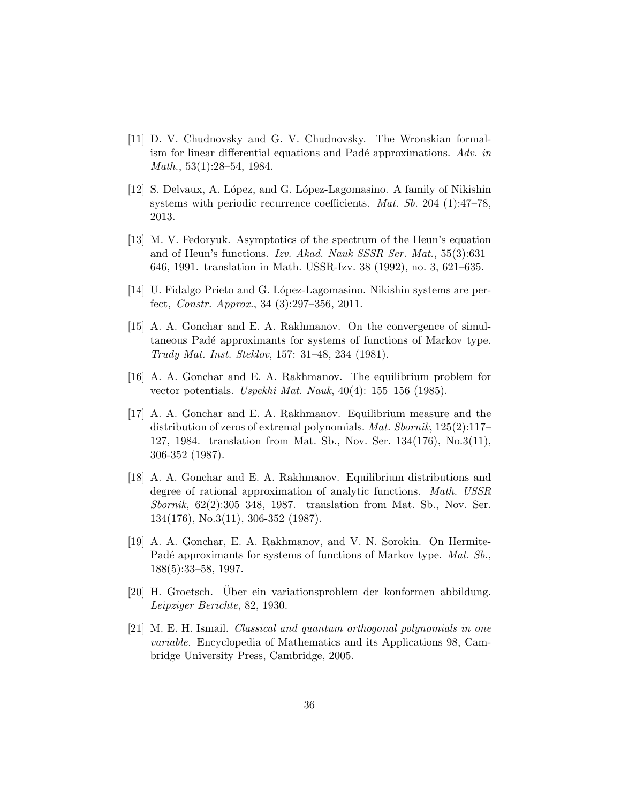- <span id="page-35-5"></span>[11] D. V. Chudnovsky and G. V. Chudnovsky. The Wronskian formalism for linear differential equations and Padé approximations. Adv. in Math., 53(1):28–54, 1984.
- <span id="page-35-6"></span>[12] S. Delvaux, A. López, and G. López-Lagomasino. A family of Nikishin systems with periodic recurrence coefficients. Mat. Sb. 204 (1):47–78, 2013.
- <span id="page-35-4"></span>[13] M. V. Fedoryuk. Asymptotics of the spectrum of the Heun's equation and of Heun's functions. Izv. Akad. Nauk SSSR Ser. Mat., 55(3):631– 646, 1991. translation in Math. USSR-Izv. 38 (1992), no. 3, 621–635.
- <span id="page-35-7"></span>[14] U. Fidalgo Prieto and G. López-Lagomasino. Nikishin systems are perfect, Constr. Approx., 34 (3):297–356, 2011.
- <span id="page-35-8"></span>[15] A. A. Gonchar and E. A. Rakhmanov. On the convergence of simultaneous Padé approximants for systems of functions of Markov type. Trudy Mat. Inst. Steklov, 157: 31–48, 234 (1981).
- <span id="page-35-9"></span>[16] A. A. Gonchar and E. A. Rakhmanov. The equilibrium problem for vector potentials. Uspekhi Mat. Nauk, 40(4): 155–156 (1985).
- <span id="page-35-2"></span>[17] A. A. Gonchar and E. A. Rakhmanov. Equilibrium measure and the distribution of zeros of extremal polynomials. Mat. Sbornik, 125(2):117– 127, 1984. translation from Mat. Sb., Nov. Ser. 134(176), No.3(11), 306-352 (1987).
- <span id="page-35-3"></span>[18] A. A. Gonchar and E. A. Rakhmanov. Equilibrium distributions and degree of rational approximation of analytic functions. Math. USSR Sbornik, 62(2):305–348, 1987. translation from Mat. Sb., Nov. Ser. 134(176), No.3(11), 306-352 (1987).
- <span id="page-35-0"></span>[19] A. A. Gonchar, E. A. Rakhmanov, and V. N. Sorokin. On Hermite-Padé approximants for systems of functions of Markov type. Mat. Sb., 188(5):33–58, 1997.
- <span id="page-35-10"></span>[20] H. Groetsch. Über ein variationsproblem der konformen abbildung. Leipziger Berichte, 82, 1930.
- <span id="page-35-1"></span>[21] M. E. H. Ismail. Classical and quantum orthogonal polynomials in one variable. Encyclopedia of Mathematics and its Applications 98, Cambridge University Press, Cambridge, 2005.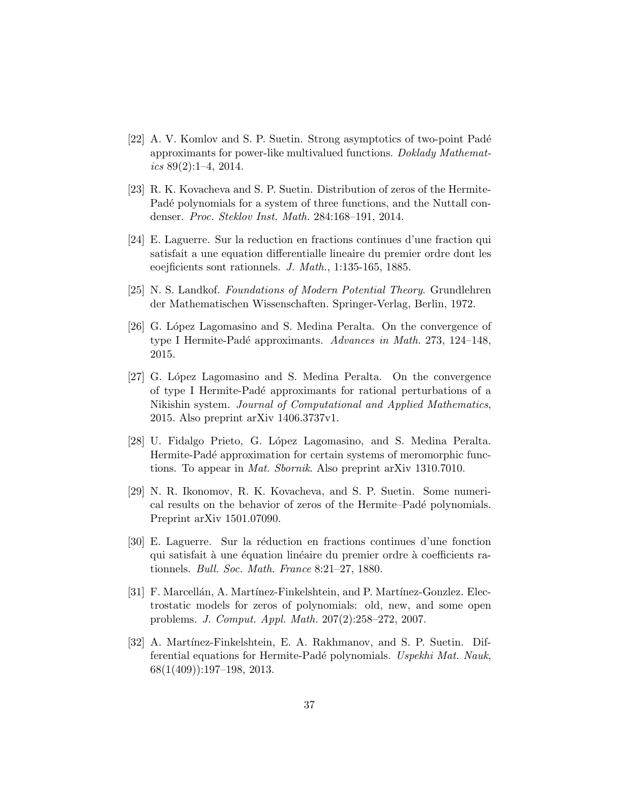- <span id="page-36-4"></span>[22] A. V. Komlov and S. P. Suetin. Strong asymptotics of two-point Padé approximants for power-like multivalued functions. Doklady Mathematics 89(2):1–4, 2014.
- <span id="page-36-3"></span>[23] R. K. Kovacheva and S. P. Suetin. Distribution of zeros of the Hermite-Padé polynomials for a system of three functions, and the Nuttall condenser. Proc. Steklov Inst. Math. 284:168–191, 2014.
- <span id="page-36-10"></span>[24] E. Laguerre. Sur la reduction en fractions continues d'une fraction qui satisfait a une equation differentialle lineaire du premier ordre dont les eoejficients sont rationnels. J. Math., 1:135-165, 1885.
- <span id="page-36-1"></span>[25] N. S. Landkof. Foundations of Modern Potential Theory. Grundlehren der Mathematischen Wissenschaften. Springer-Verlag, Berlin, 1972.
- <span id="page-36-5"></span>[26] G. López Lagomasino and S. Medina Peralta. On the convergence of type I Hermite-Padé approximants. Advances in Math. 273, 124–148, 2015.
- <span id="page-36-6"></span>[27] G. López Lagomasino and S. Medina Peralta. On the convergence of type I Hermite-Pad´e approximants for rational perturbations of a Nikishin system. Journal of Computational and Applied Mathematics, 2015. Also preprint arXiv 1406.3737v1.
- <span id="page-36-7"></span>[28] U. Fidalgo Prieto, G. L´opez Lagomasino, and S. Medina Peralta. Hermite-Padé approximation for certain systems of meromorphic functions. To appear in Mat. Sbornik. Also preprint arXiv 1310.7010.
- <span id="page-36-0"></span>[29] N. R. Ikonomov, R. K. Kovacheva, and S. P. Suetin. Some numerical results on the behavior of zeros of the Hermite–Padé polynomials. Preprint arXiv 1501.07090.
- <span id="page-36-8"></span>[30] E. Laguerre. Sur la r´eduction en fractions continues d'une fonction qui satisfait à une équation linéaire du premier ordre à coefficients rationnels. Bull. Soc. Math. France 8:21–27, 1880.
- <span id="page-36-9"></span>[31] F. Marcellán, A. Martínez-Finkelshtein, and P. Martínez-Gonzlez. Electrostatic models for zeros of polynomials: old, new, and some open problems. J. Comput. Appl. Math. 207(2):258–272, 2007.
- <span id="page-36-2"></span>[32] A. Martínez-Finkelshtein, E. A. Rakhmanov, and S. P. Suetin. Differential equations for Hermite-Padé polynomials. Uspekhi Mat. Nauk,  $68(1(409))$ :197-198, 2013.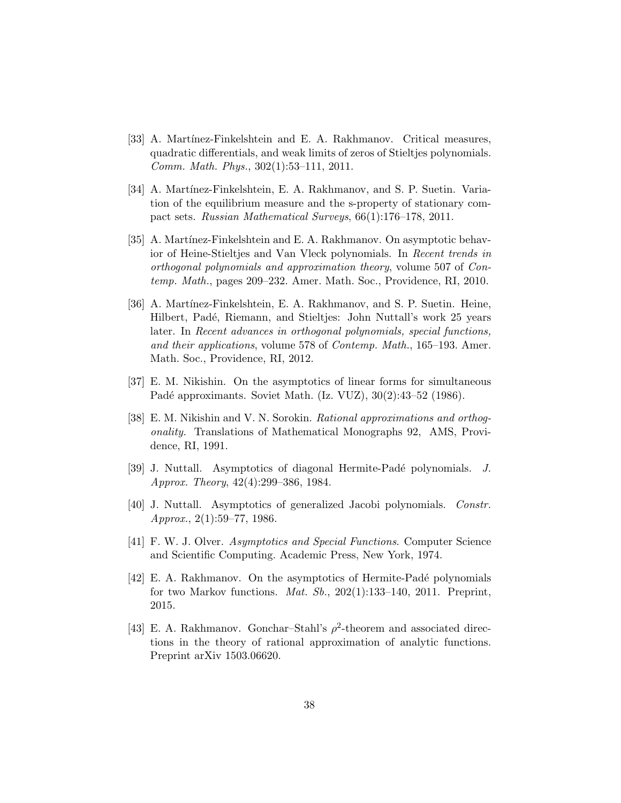- <span id="page-37-3"></span>[33] A. Martínez-Finkelshtein and E. A. Rakhmanov. Critical measures, quadratic differentials, and weak limits of zeros of Stieltjes polynomials. Comm. Math. Phys., 302(1):53–111, 2011.
- <span id="page-37-10"></span>[34] A. Martínez-Finkelshtein, E. A. Rakhmanov, and S. P. Suetin. Variation of the equilibrium measure and the s-property of stationary compact sets. Russian Mathematical Surveys, 66(1):176–178, 2011.
- <span id="page-37-4"></span>[35] A. Martínez-Finkelshtein and E. A. Rakhmanov. On asymptotic behavior of Heine-Stieltjes and Van Vleck polynomials. In Recent trends in orthogonal polynomials and approximation theory, volume 507 of Contemp. Math., pages 209–232. Amer. Math. Soc., Providence, RI, 2010.
- <span id="page-37-8"></span>[36] A. Martínez-Finkelshtein, E. A. Rakhmanov, and S. P. Suetin. Heine, Hilbert, Padé, Riemann, and Stieltjes: John Nuttall's work 25 years later. In Recent advances in orthogonal polynomials, special functions, and their applications, volume 578 of Contemp. Math., 165–193. Amer. Math. Soc., Providence, RI, 2012.
- <span id="page-37-6"></span>[37] E. M. Nikishin. On the asymptotics of linear forms for simultaneous Padé approximants. Soviet Math. (Iz. VUZ), 30(2):43-52 (1986).
- <span id="page-37-2"></span>[38] E. M. Nikishin and V. N. Sorokin. Rational approximations and orthogonality. Translations of Mathematical Monographs 92, AMS, Providence, RI, 1991.
- <span id="page-37-0"></span>[39] J. Nuttall. Asymptotics of diagonal Hermite-Padé polynomials. J. Approx. Theory, 42(4):299–386, 1984.
- <span id="page-37-5"></span>[40] J. Nuttall. Asymptotics of generalized Jacobi polynomials. Constr.  $Approx., 2(1):59–77, 1986.$
- <span id="page-37-7"></span>[41] F. W. J. Olver. Asymptotics and Special Functions. Computer Science and Scientific Computing. Academic Press, New York, 1974.
- <span id="page-37-1"></span>[42] E. A. Rakhmanov. On the asymptotics of Hermite-Pad´e polynomials for two Markov functions. Mat. Sb., 202(1):133–140, 2011. Preprint, 2015.
- <span id="page-37-9"></span>[43] E. A. Rakhmanov. Gonchar–Stahl's  $\rho^2$ -theorem and associated directions in the theory of rational approximation of analytic functions. Preprint arXiv 1503.06620.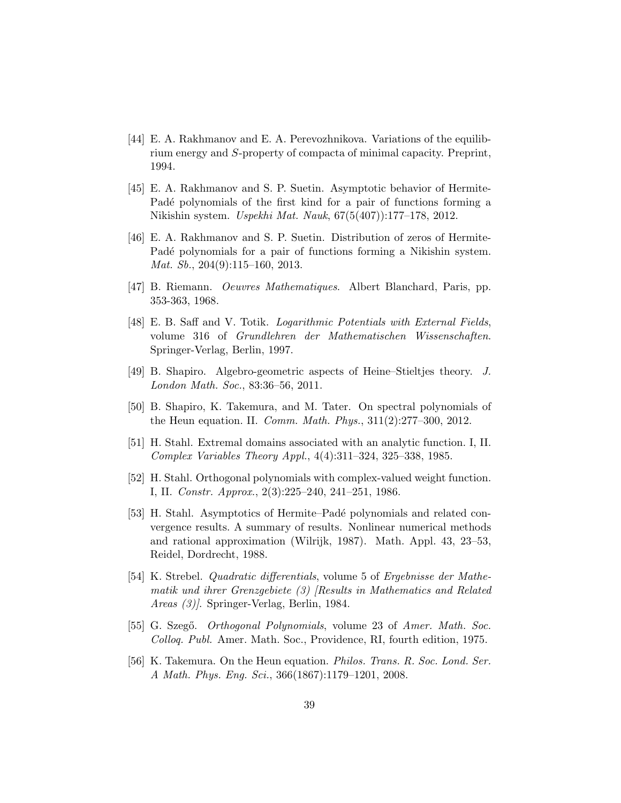- <span id="page-38-12"></span>[44] E. A. Rakhmanov and E. A. Perevozhnikova. Variations of the equilibrium energy and S-property of compacta of minimal capacity. Preprint, 1994.
- <span id="page-38-7"></span>[45] E. A. Rakhmanov and S. P. Suetin. Asymptotic behavior of Hermite-Padé polynomials of the first kind for a pair of functions forming a Nikishin system. Uspekhi Mat. Nauk, 67(5(407)):177–178, 2012.
- <span id="page-38-8"></span>[46] E. A. Rakhmanov and S. P. Suetin. Distribution of zeros of Hermite-Padé polynomials for a pair of functions forming a Nikishin system. Mat. Sb., 204(9):115–160, 2013.
- <span id="page-38-10"></span>[47] B. Riemann. Oeuvres Mathematiques. Albert Blanchard, Paris, pp. 353-363, 1968.
- <span id="page-38-9"></span>[48] E. B. Saff and V. Totik. Logarithmic Potentials with External Fields, volume 316 of Grundlehren der Mathematischen Wissenschaften. Springer-Verlag, Berlin, 1997.
- <span id="page-38-4"></span>[49] B. Shapiro. Algebro-geometric aspects of Heine–Stieltjes theory. J. London Math. Soc., 83:36–56, 2011.
- <span id="page-38-5"></span>[50] B. Shapiro, K. Takemura, and M. Tater. On spectral polynomials of the Heun equation. II. Comm. Math. Phys., 311(2):277–300, 2012.
- <span id="page-38-1"></span>[51] H. Stahl. Extremal domains associated with an analytic function. I, II. Complex Variables Theory Appl., 4(4):311–324, 325–338, 1985.
- <span id="page-38-2"></span>[52] H. Stahl. Orthogonal polynomials with complex-valued weight function. I, II. Constr. Approx., 2(3):225–240, 241–251, 1986.
- <span id="page-38-0"></span>[53] H. Stahl. Asymptotics of Hermite–Padé polynomials and related convergence results. A summary of results. Nonlinear numerical methods and rational approximation (Wilrijk, 1987). Math. Appl. 43, 23–53, Reidel, Dordrecht, 1988.
- <span id="page-38-11"></span>[54] K. Strebel. Quadratic differentials, volume 5 of Ergebnisse der Mathematik und ihrer Grenzgebiete (3) [Results in Mathematics and Related Areas (3)]. Springer-Verlag, Berlin, 1984.
- <span id="page-38-3"></span>[55] G. Szegő. *Orthogonal Polynomials*, volume 23 of Amer. Math. Soc. Colloq. Publ. Amer. Math. Soc., Providence, RI, fourth edition, 1975.
- <span id="page-38-6"></span>[56] K. Takemura. On the Heun equation. Philos. Trans. R. Soc. Lond. Ser. A Math. Phys. Eng. Sci., 366(1867):1179–1201, 2008.